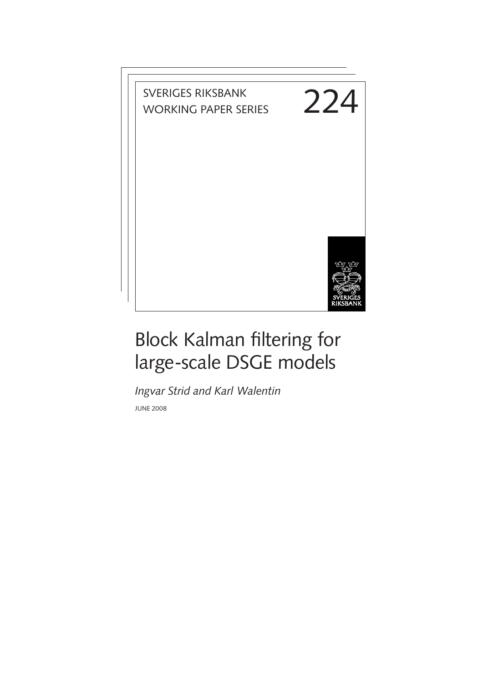

# Block Kalman filtering for large-scale DSGE models

*Ingvar Strid and Karl Walentin*

June 2008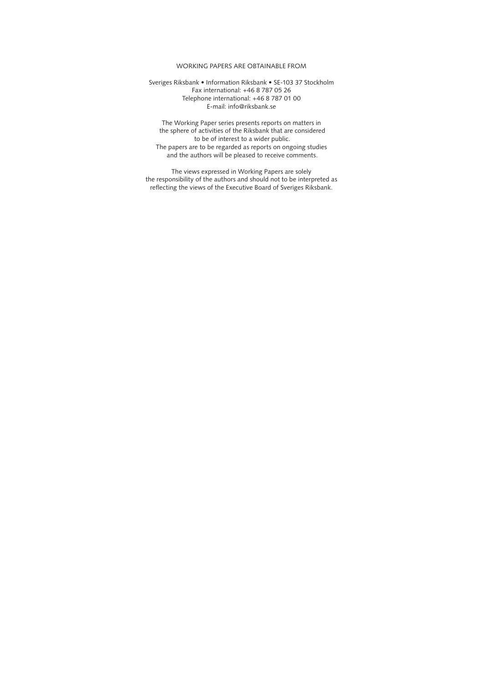#### Working papers are obtainable from

Sveriges Riksbank • Information Riksbank • SE-103 37 Stockholm Fax international: +46 8 787 05 26 Telephone international: +46 8 787 01 00 E-mail: info@riksbank.se

The Working Paper series presents reports on matters in the sphere of activities of the Riksbank that are considered to be of interest to a wider public. The papers are to be regarded as reports on ongoing studies and the authors will be pleased to receive comments.

The views expressed in Working Papers are solely the responsibility of the authors and should not to be interpreted as reflecting the views of the Executive Board of Sveriges Riksbank.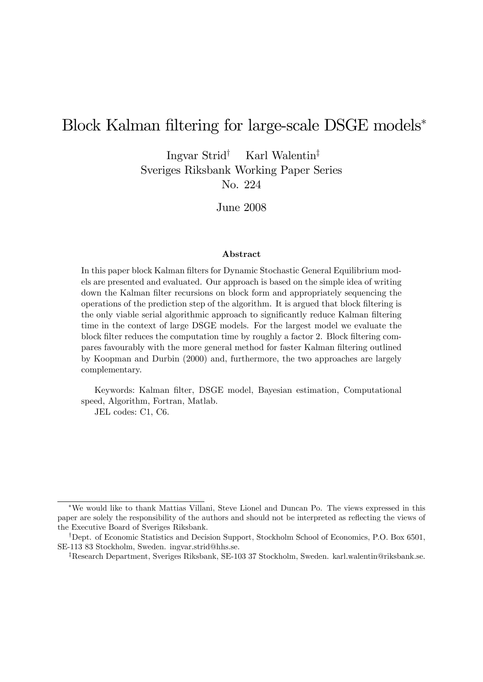# Block Kalman filtering for large-scale DSGE models<sup>\*</sup>

Ingvar Strid<sup>†</sup> Karl Walentin<sup>‡</sup> Sveriges Riksbank Working Paper Series No. 224

June 2008

#### Abstract

In this paper block Kalman filters for Dynamic Stochastic General Equilibrium models are presented and evaluated. Our approach is based on the simple idea of writing down the Kalman filter recursions on block form and appropriately sequencing the operations of the prediction step of the algorithm. It is argued that block Öltering is the only viable serial algorithmic approach to significantly reduce Kalman filtering time in the context of large DSGE models. For the largest model we evaluate the block filter reduces the computation time by roughly a factor 2. Block filtering compares favourably with the more general method for faster Kalman Öltering outlined by Koopman and Durbin (2000) and, furthermore, the two approaches are largely complementary.

Keywords: Kalman filter, DSGE model, Bayesian estimation, Computational speed, Algorithm, Fortran, Matlab.

JEL codes: C1, C6.

We would like to thank Mattias Villani, Steve Lionel and Duncan Po. The views expressed in this paper are solely the responsibility of the authors and should not be interpreted as reflecting the views of the Executive Board of Sveriges Riksbank.

<sup>&</sup>lt;sup>†</sup>Dept. of Economic Statistics and Decision Support, Stockholm School of Economics, P.O. Box 6501, SE-113 83 Stockholm, Sweden. ingvar.strid@hhs.se.

<sup>&</sup>lt;sup>‡</sup>Research Department, Sveriges Riksbank, SE-103 37 Stockholm, Sweden. karl.walentin@riksbank.se.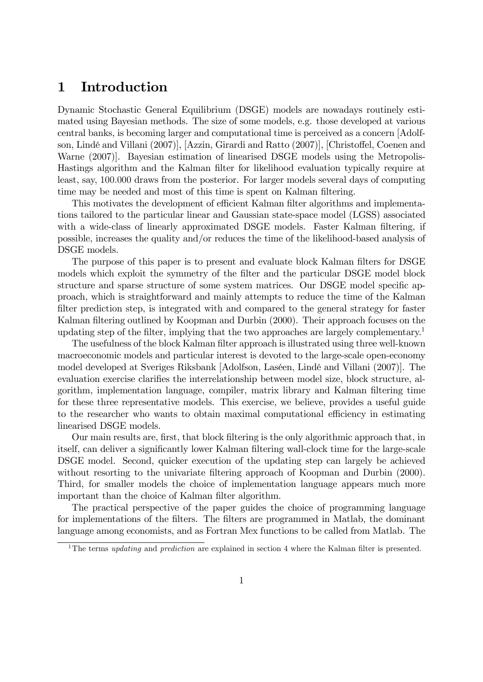### 1 Introduction

Dynamic Stochastic General Equilibrium (DSGE) models are nowadays routinely estimated using Bayesian methods. The size of some models, e.g. those developed at various central banks, is becoming larger and computational time is perceived as a concern [Adolfson, Lindé and Villani (2007)], [Azzin, Girardi and Ratto (2007)], [Christoffel, Coenen and Warne (2007)]. Bayesian estimation of linearised DSGE models using the Metropolis-Hastings algorithm and the Kalman filter for likelihood evaluation typically require at least, say, 100:000 draws from the posterior. For larger models several days of computing time may be needed and most of this time is spent on Kalman filtering.

This motivates the development of efficient Kalman filter algorithms and implementations tailored to the particular linear and Gaussian state-space model (LGSS) associated with a wide-class of linearly approximated DSGE models. Faster Kalman filtering, if possible, increases the quality and/or reduces the time of the likelihood-based analysis of DSGE models.

The purpose of this paper is to present and evaluate block Kalman filters for DSGE models which exploit the symmetry of the filter and the particular DSGE model block structure and sparse structure of some system matrices. Our DSGE model specific approach, which is straightforward and mainly attempts to reduce the time of the Kalman filter prediction step, is integrated with and compared to the general strategy for faster Kalman filtering outlined by Koopman and Durbin (2000). Their approach focuses on the updating step of the filter, implying that the two approaches are largely complementary.<sup>1</sup>

The usefulness of the block Kalman filter approach is illustrated using three well-known macroeconomic models and particular interest is devoted to the large-scale open-economy model developed at Sveriges Riksbank [Adolfson, Laséen, Lindé and Villani (2007)]. The evaluation exercise clarifies the interrelationship between model size, block structure, algorithm, implementation language, compiler, matrix library and Kalman filtering time for these three representative models. This exercise, we believe, provides a useful guide to the researcher who wants to obtain maximal computational efficiency in estimating linearised DSGE models.

Our main results are, first, that block filtering is the only algorithmic approach that, in itself, can deliver a significantly lower Kalman filtering wall-clock time for the large-scale DSGE model. Second, quicker execution of the updating step can largely be achieved without resorting to the univariate filtering approach of Koopman and Durbin (2000). Third, for smaller models the choice of implementation language appears much more important than the choice of Kalman filter algorithm.

The practical perspective of the paper guides the choice of programming language for implementations of the filters. The filters are programmed in Matlab, the dominant language among economists, and as Fortran Mex functions to be called from Matlab. The

<sup>&</sup>lt;sup>1</sup>The terms *updating* and *prediction* are explained in section 4 where the Kalman filter is presented.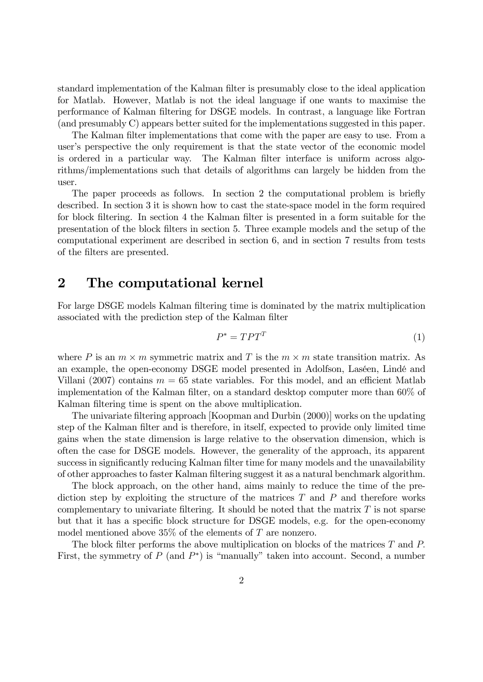standard implementation of the Kalman filter is presumably close to the ideal application for Matlab. However, Matlab is not the ideal language if one wants to maximise the performance of Kalman Öltering for DSGE models. In contrast, a language like Fortran (and presumably C) appears better suited for the implementations suggested in this paper.

The Kalman filter implementations that come with the paper are easy to use. From a user's perspective the only requirement is that the state vector of the economic model is ordered in a particular way. The Kalman filter interface is uniform across algorithms/implementations such that details of algorithms can largely be hidden from the user.

The paper proceeds as follows. In section 2 the computational problem is briefly described. In section 3 it is shown how to cast the state-space model in the form required for block filtering. In section 4 the Kalman filter is presented in a form suitable for the presentation of the block Ölters in section 5. Three example models and the setup of the computational experiment are described in section 6, and in section 7 results from tests of the Ölters are presented.

# 2 The computational kernel

For large DSGE models Kalman filtering time is dominated by the matrix multiplication associated with the prediction step of the Kalman filter

$$
P^* = TPT^T \tag{1}
$$

where P is an  $m \times m$  symmetric matrix and T is the  $m \times m$  state transition matrix. As an example, the open-economy DSGE model presented in Adolfson, Laséen, Lindé and Villani (2007) contains  $m = 65$  state variables. For this model, and an efficient Matlab implementation of the Kalman filter, on a standard desktop computer more than  $60\%$  of Kalman filtering time is spent on the above multiplication.

The univariate filtering approach [Koopman and Durbin (2000)] works on the updating step of the Kalman filter and is therefore, in itself, expected to provide only limited time gains when the state dimension is large relative to the observation dimension, which is often the case for DSGE models. However, the generality of the approach, its apparent success in significantly reducing Kalman filter time for many models and the unavailability of other approaches to faster Kalman Öltering suggest it as a natural benchmark algorithm.

The block approach, on the other hand, aims mainly to reduce the time of the prediction step by exploiting the structure of the matrices  $T$  and  $P$  and therefore works complementary to univariate filtering. It should be noted that the matrix  $T$  is not sparse but that it has a specific block structure for DSGE models, e.g. for the open-economy model mentioned above  $35\%$  of the elements of T are nonzero.

The block filter performs the above multiplication on blocks of the matrices  $T$  and  $P$ . First, the symmetry of  $P$  (and  $P^*$ ) is "manually" taken into account. Second, a number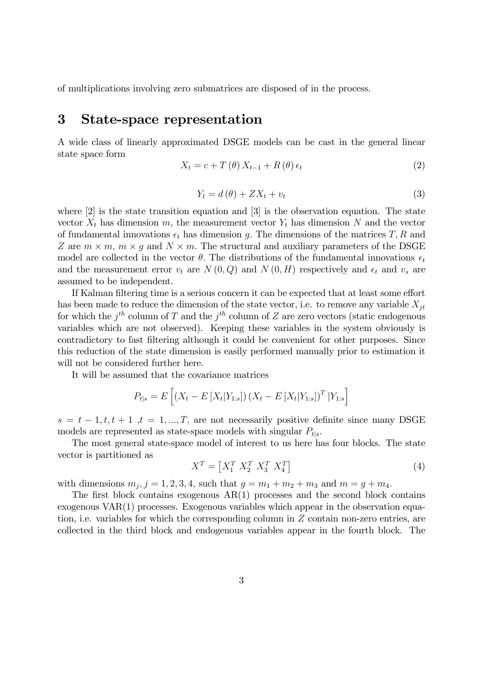of multiplications involving zero submatrices are disposed of in the process.

### 3 State-space representation

A wide class of linearly approximated DSGE models can be cast in the general linear state space form

$$
X_{t} = c + T(\theta) X_{t-1} + R(\theta) \epsilon_{t}
$$
\n
$$
(2)
$$

$$
Y_t = d(\theta) + ZX_t + v_t \tag{3}
$$

where  $[2]$  is the state transition equation and  $[3]$  is the observation equation. The state vector  $X_t$  has dimension m, the measurement vector  $Y_t$  has dimension N and the vector of fundamental innovations  $\epsilon_t$  has dimension g. The dimensions of the matrices T, R and Z are  $m \times m$ ,  $m \times g$  and  $N \times m$ . The structural and auxiliary parameters of the DSGE model are collected in the vector  $\theta$ . The distributions of the fundamental innovations  $\epsilon_t$ and the measurement error  $v_t$  are  $N(0,Q)$  and  $N(0,H)$  respectively and  $\epsilon_t$  and  $v_s$  are assumed to be independent.

If Kalman filtering time is a serious concern it can be expected that at least some effort has been made to reduce the dimension of the state vector, i.e. to remove any variable  $X_{it}$ for which the  $j^{th}$  column of T and the  $j^{th}$  column of Z are zero vectors (static endogenous variables which are not observed). Keeping these variables in the system obviously is contradictory to fast Öltering although it could be convenient for other purposes. Since this reduction of the state dimension is easily performed manually prior to estimation it will not be considered further here.

It will be assumed that the covariance matrices

$$
P_{t|s} = E\left[ (X_t - E\left[ X_t | Y_{1:s} \right]) (X_t - E\left[ X_t | Y_{1:s} \right])^T | Y_{1:s} \right]
$$

 $s = t - 1, t, t + 1, t = 1, ..., T$ , are not necessarily positive definite since many DSGE models are represented as state-space models with singular  $P_{t|s}$ .

The most general state-space model of interest to us here has four blocks. The state vector is partitioned as

$$
X^T = \begin{bmatrix} X_1^T & X_2^T & X_3^T & X_4^T \end{bmatrix} \tag{4}
$$

with dimensions  $m_j, j = 1, 2, 3, 4$ , such that  $g = m_1 + m_2 + m_3$  and  $m = g + m_4$ .

The first block contains exogenous  $AR(1)$  processes and the second block contains exogenous VAR(1) processes. Exogenous variables which appear in the observation equation, i.e. variables for which the corresponding column in Z contain non-zero entries, are collected in the third block and endogenous variables appear in the fourth block. The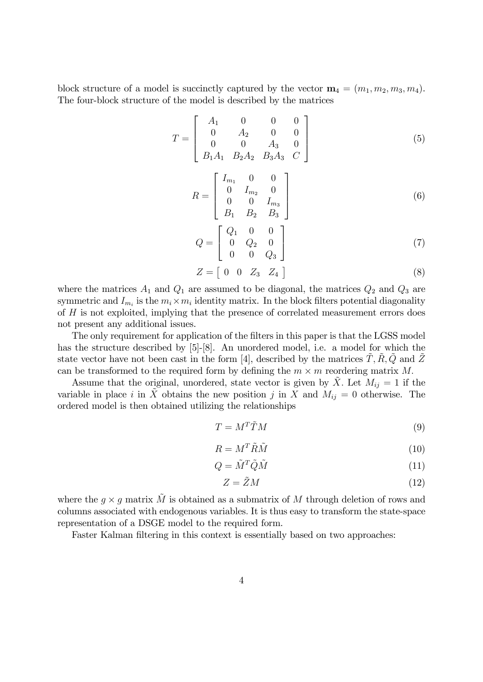block structure of a model is succinctly captured by the vector  $\mathbf{m}_4 = (m_1, m_2, m_3, m_4)$ . The four-block structure of the model is described by the matrices

$$
T = \begin{bmatrix} A_1 & 0 & 0 & 0 \\ 0 & A_2 & 0 & 0 \\ 0 & 0 & A_3 & 0 \\ B_1A_1 & B_2A_2 & B_3A_3 & C \end{bmatrix}
$$
 (5)

$$
R = \begin{bmatrix} I_{m_1} & 0 & 0 \\ 0 & I_{m_2} & 0 \\ 0 & 0 & I_{m_3} \\ B_1 & B_2 & B_3 \end{bmatrix}
$$
 (6)

$$
Q = \begin{bmatrix} Q_1 & 0 & 0 \\ 0 & Q_2 & 0 \\ 0 & 0 & Q_3 \end{bmatrix}
$$
 (7)

$$
Z = \left[ \begin{array}{ccc} 0 & 0 & Z_3 & Z_4 \end{array} \right] \tag{8}
$$

where the matrices  $A_1$  and  $Q_1$  are assumed to be diagonal, the matrices  $Q_2$  and  $Q_3$  are symmetric and  $I_{m_i}$  is the  $m_i \times m_i$  identity matrix. In the block filters potential diagonality of H is not exploited, implying that the presence of correlated measurement errors does not present any additional issues.

The only requirement for application of the filters in this paper is that the LGSS model has the structure described by [5]-[8]. An unordered model, i.e. a model for which the state vector have not been cast in the form [4], described by the matrices  $\tilde{T}, \tilde{R}, \tilde{Q}$  and  $\tilde{Z}$ can be transformed to the required form by defining the  $m \times m$  reordering matrix M.

Assume that the original, unordered, state vector is given by X. Let  $M_{ij} = 1$  if the variable in place i in  $\tilde{X}$  obtains the new position j in X and  $M_{ij} = 0$  otherwise. The ordered model is then obtained utilizing the relationships

$$
T = M^T \tilde{T} M \tag{9}
$$

$$
R = M^T \tilde{R} \tilde{M} \tag{10}
$$

$$
Q = \tilde{M}^T \tilde{Q} \tilde{M} \tag{11}
$$

$$
Z = \tilde{Z}M\tag{12}
$$

where the  $g \times g$  matrix  $\tilde{M}$  is obtained as a submatrix of M through deletion of rows and columns associated with endogenous variables: It is thus easy to transform the state-space representation of a DSGE model to the required form.

Faster Kalman filtering in this context is essentially based on two approaches: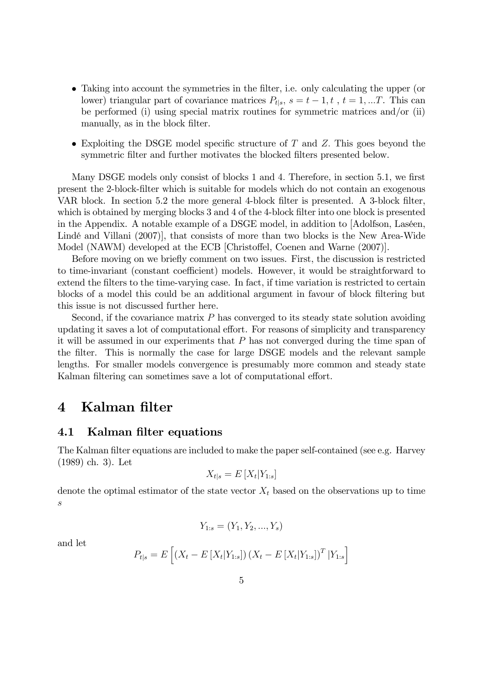- Taking into account the symmetries in the filter, i.e. only calculating the upper (or lower) triangular part of covariance matrices  $P_{t|s}, s = t - 1, t, t = 1, ...T$ . This can be performed (i) using special matrix routines for symmetric matrices and/or (ii) manually, as in the block filter.
- $\bullet$  Exploiting the DSGE model specific structure of T and Z. This goes beyond the symmetric filter and further motivates the blocked filters presented below.

Many DSGE models only consist of blocks 1 and 4. Therefore, in section 5.1, we first present the 2-block-Ölter which is suitable for models which do not contain an exogenous VAR block. In section 5.2 the more general 4-block filter is presented. A 3-block filter, which is obtained by merging blocks 3 and 4 of the 4-block filter into one block is presented in the Appendix. A notable example of a DSGE model, in addition to  $|$ Adolfson, Laséen, Lindé and Villani (2007), that consists of more than two blocks is the New Area-Wide Model (NAWM) developed at the ECB [Christoffel, Coenen and Warne (2007)].

Before moving on we brieáy comment on two issues. First, the discussion is restricted to time-invariant (constant coefficient) models. However, it would be straightforward to extend the filters to the time-varying case. In fact, if time variation is restricted to certain blocks of a model this could be an additional argument in favour of block filtering but this issue is not discussed further here.

Second, if the covariance matrix  $P$  has converged to its steady state solution avoiding updating it saves a lot of computational effort. For reasons of simplicity and transparency it will be assumed in our experiments that P has not converged during the time span of the Ölter. This is normally the case for large DSGE models and the relevant sample lengths. For smaller models convergence is presumably more common and steady state Kalman filtering can sometimes save a lot of computational effort.

### 4 Kalman filter

#### 4.1 Kalman filter equations

The Kalman filter equations are included to make the paper self-contained (see e.g. Harvey (1989) ch. 3). Let

$$
X_{t|s} = E\left[X_t|Y_{1:s}\right]
$$

denote the optimal estimator of the state vector  $X_t$  based on the observations up to time s

$$
Y_{1:s} = (Y_1, Y_2, ..., Y_s)
$$

and let

$$
P_{t|s} = E\left[ (X_t - E\left[ X_t | Y_{1:s} \right]) (X_t - E\left[ X_t | Y_{1:s} \right])^T | Y_{1:s} \right]
$$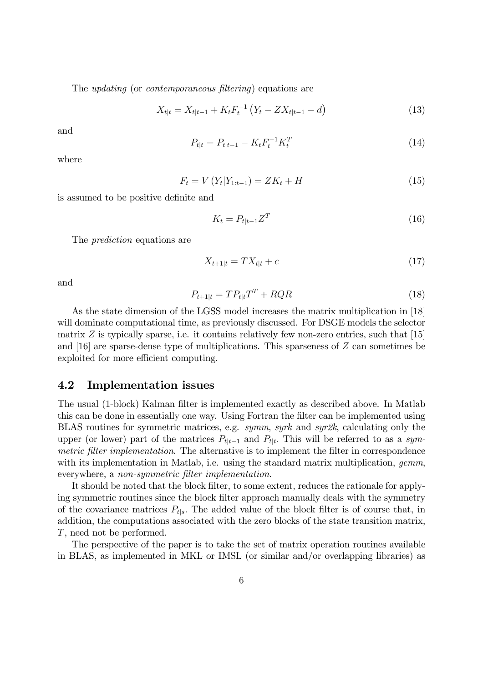The *updating* (or *contemporaneous filtering*) equations are

$$
X_{t|t} = X_{t|t-1} + K_t F_t^{-1} \left( Y_t - Z X_{t|t-1} - d \right) \tag{13}
$$

and

$$
P_{t|t} = P_{t|t-1} - K_t F_t^{-1} K_t^T
$$
\n(14)

where

$$
F_t = V(Y_t|Y_{1:t-1}) = ZK_t + H
$$
\n(15)

is assumed to be positive definite and

$$
K_t = P_{t|t-1}Z^T \tag{16}
$$

The prediction equations are

$$
X_{t+1|t} = TX_{t|t} + c \tag{17}
$$

and

$$
P_{t+1|t} = TP_{t|t}T^T + RQR \tag{18}
$$

As the state dimension of the LGSS model increases the matrix multiplication in [18] will dominate computational time, as previously discussed. For DSGE models the selector matrix  $Z$  is typically sparse, i.e. it contains relatively few non-zero entries, such that  $[15]$ and [16] are sparse-dense type of multiplications. This sparseness of Z can sometimes be exploited for more efficient computing.

#### 4.2 Implementation issues

The usual (1-block) Kalman filter is implemented exactly as described above. In Matlab this can be done in essentially one way. Using Fortran the Ölter can be implemented using BLAS routines for symmetric matrices, e.g. symm, syrk and syr2k, calculating only the upper (or lower) part of the matrices  $P_{t|t-1}$  and  $P_{t|t}$ . This will be referred to as a symmetric filter implementation. The alternative is to implement the filter in correspondence with its implementation in Matlab, i.e. using the standard matrix multiplication, *gemm*, everywhere, a non-symmetric filter implementation.

It should be noted that the block filter, to some extent, reduces the rationale for applying symmetric routines since the block filter approach manually deals with the symmetry of the covariance matrices  $P_{t|s}$ . The added value of the block filter is of course that, in addition, the computations associated with the zero blocks of the state transition matrix, T, need not be performed.

The perspective of the paper is to take the set of matrix operation routines available in BLAS, as implemented in MKL or IMSL (or similar and/or overlapping libraries) as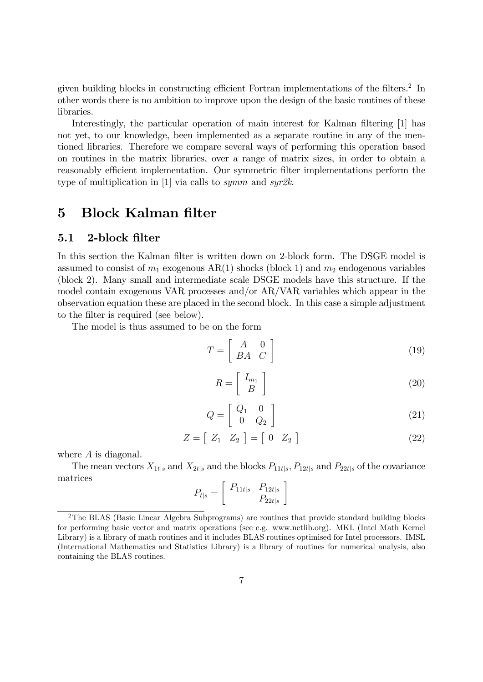given building blocks in constructing efficient Fortran implementations of the filters.<sup>2</sup> In other words there is no ambition to improve upon the design of the basic routines of these libraries.

Interestingly, the particular operation of main interest for Kalman filtering [1] has not yet, to our knowledge, been implemented as a separate routine in any of the mentioned libraries. Therefore we compare several ways of performing this operation based on routines in the matrix libraries, over a range of matrix sizes, in order to obtain a reasonably efficient implementation. Our symmetric filter implementations perform the type of multiplication in [1] via calls to *symm* and *syr2k*.

# 5 Block Kalman filter

### 5.1 2-block filter

In this section the Kalman filter is written down on 2-block form. The DSGE model is assumed to consist of  $m_1$  exogenous AR(1) shocks (block 1) and  $m_2$  endogenous variables (block 2). Many small and intermediate scale DSGE models have this structure. If the model contain exogenous VAR processes and/or AR/VAR variables which appear in the observation equation these are placed in the second block. In this case a simple adjustment to the filter is required (see below).

The model is thus assumed to be on the form

$$
T = \left[ \begin{array}{cc} A & 0 \\ BA & C \end{array} \right] \tag{19}
$$

$$
R = \left[ \begin{array}{c} I_{m_1} \\ B \end{array} \right] \tag{20}
$$

$$
Q = \left[ \begin{array}{cc} Q_1 & 0 \\ 0 & Q_2 \end{array} \right] \tag{21}
$$

$$
Z = \left[ \begin{array}{cc} Z_1 & Z_2 \end{array} \right] = \left[ \begin{array}{cc} 0 & Z_2 \end{array} \right] \tag{22}
$$

where A is diagonal.

The mean vectors  $X_{1t|s}$  and  $X_{2t|s}$  and the blocks  $P_{11t|s}$ ,  $P_{12t|s}$  and  $P_{22t|s}$  of the covariance matrices  $\overline{1}$ 

$$
P_{t|s} = \begin{bmatrix} P_{11t|s} & P_{12t|s} \\ P_{22t|s} & \end{bmatrix}
$$

<sup>&</sup>lt;sup>2</sup>The BLAS (Basic Linear Algebra Subprograms) are routines that provide standard building blocks for performing basic vector and matrix operations (see e.g. www.netlib.org). MKL (Intel Math Kernel Library) is a library of math routines and it includes BLAS routines optimised for Intel processors. IMSL (International Mathematics and Statistics Library) is a library of routines for numerical analysis, also containing the BLAS routines.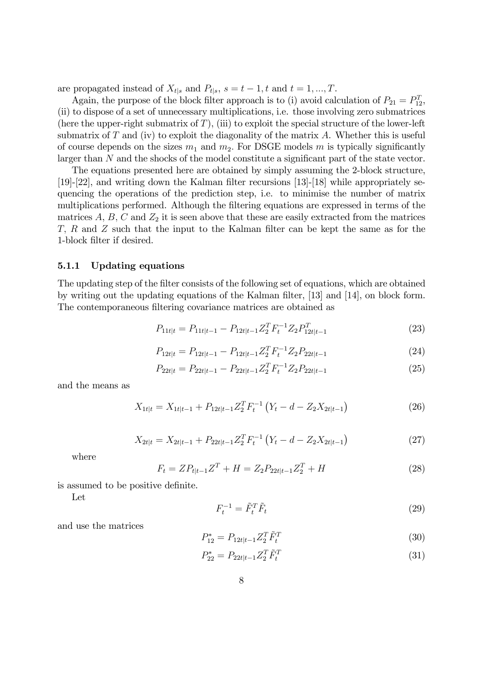are propagated instead of  $X_{t|s}$  and  $P_{t|s}$ ,  $s = t - 1$ ,  $t$  and  $t = 1, ..., T$ .

Again, the purpose of the block filter approach is to (i) avoid calculation of  $P_{21} = P_{12}^T$ , (ii) to dispose of a set of unnecessary multiplications, i.e. those involving zero submatrices (here the upper-right submatrix of  $T$ ), (iii) to exploit the special structure of the lower-left submatrix of  $T$  and (iv) to exploit the diagonality of the matrix  $A$ . Whether this is useful of course depends on the sizes  $m_1$  and  $m_2$ . For DSGE models m is typically significantly larger than  $N$  and the shocks of the model constitute a significant part of the state vector.

The equations presented here are obtained by simply assuming the 2-block structure, [19]-[22], and writing down the Kalman filter recursions [13]-[18] while appropriately sequencing the operations of the prediction step, i.e. to minimise the number of matrix multiplications performed. Although the filtering equations are expressed in terms of the matrices  $A, B, C$  and  $Z_2$  it is seen above that these are easily extracted from the matrices  $T$ ,  $R$  and  $Z$  such that the input to the Kalman filter can be kept the same as for the 1-block filter if desired.

#### 5.1.1 Updating equations

The updating step of the filter consists of the following set of equations, which are obtained by writing out the updating equations of the Kalman filter, [13] and [14], on block form. The contemporaneous filtering covariance matrices are obtained as

$$
P_{11t|t} = P_{11t|t-1} - P_{12t|t-1} Z_2^T F_t^{-1} Z_2 P_{12t|t-1}^T
$$
\n(23)

$$
P_{12t|t} = P_{12t|t-1} - P_{12t|t-1} Z_2^T F_t^{-1} Z_2 P_{22t|t-1}
$$
\n(24)

$$
P_{22t|t} = P_{22t|t-1} - P_{22t|t-1} Z_2^T F_t^{-1} Z_2 P_{22t|t-1}
$$
\n(25)

and the means as

$$
X_{1t|t} = X_{1t|t-1} + P_{12t|t-1} Z_2^T F_t^{-1} \left( Y_t - d - Z_2 X_{2t|t-1} \right) \tag{26}
$$

$$
X_{2t|t} = X_{2t|t-1} + P_{22t|t-1} Z_2^T F_t^{-1} \left( Y_t - d - Z_2 X_{2t|t-1} \right) \tag{27}
$$

where

$$
F_t = Z P_{t|t-1} Z^T + H = Z_2 P_{22t|t-1} Z_2^T + H \tag{28}
$$

is assumed to be positive definite.

Let

$$
F_t^{-1} = \tilde{F}_t^T \tilde{F}_t \tag{29}
$$

and use the matrices

$$
P_{12}^* = P_{12t|t-1} Z_2^T \tilde{F}_t^T
$$
\n(30)

$$
P_{22}^* = P_{22t|t-1} Z_2^T \tilde{F}_t^T
$$
\n(31)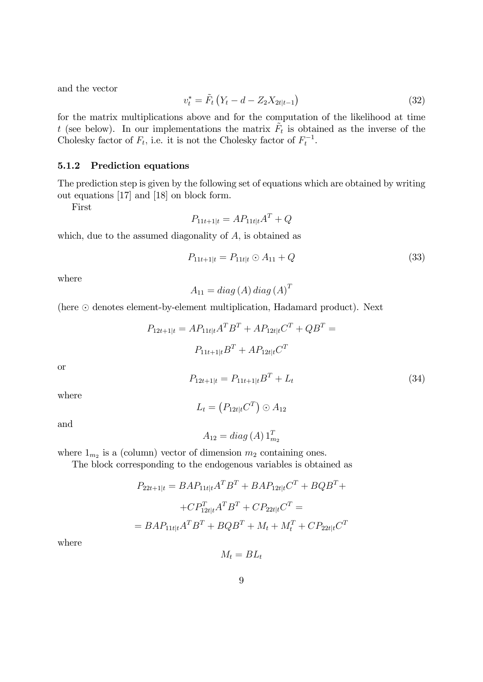and the vector

$$
v_t^* = \tilde{F}_t \left( Y_t - d - Z_2 X_{2t|t-1} \right) \tag{32}
$$

for the matrix multiplications above and for the computation of the likelihood at time t (see below). In our implementations the matrix  $\tilde{F}_t$  is obtained as the inverse of the Cholesky factor of  $F_t$ , i.e. it is not the Cholesky factor of  $F_t^{-1}$ .

#### 5.1.2 Prediction equations

The prediction step is given by the following set of equations which are obtained by writing out equations [17] and [18] on block form.

First

$$
P_{11t+1|t} = AP_{11t|t}A^T + Q
$$

which, due to the assumed diagonality of  $A$ , is obtained as

$$
P_{11t+1|t} = P_{11t|t} \odot A_{11} + Q \tag{33}
$$

where

$$
A_{11} = diag(A) diag(A)^{T}
$$

(here  $\odot$  denotes element-by-element multiplication, Hadamard product). Next

$$
P_{12t+1|t} = AP_{11t|t}A^T B^T + AP_{12t|t}C^T + QB^T =
$$
  
\n
$$
P_{11t+1|t}B^T + AP_{12t|t}C^T
$$
  
\n
$$
P_{12t+1|t} = P_{11t+1|t}B^T + L_t
$$
\n(34)

or

where

$$
L_t = (P_{12t|t}C^T) \odot A_{12}
$$

and

$$
A_{12} = diag(A) 1_{m_2}^T
$$

where  $1_{m_2}$  is a (column) vector of dimension  $m_2$  containing ones.

The block corresponding to the endogenous variables is obtained as

$$
P_{22t+1|t} = BAP_{11t|t}A^T B^T + BAP_{12t|t}C^T + BQB^T +
$$

$$
+ CP_{12t|t}^T A^T B^T + CP_{22t|t}C^T =
$$

$$
= BAP_{11t|t}A^T B^T + BQB^T + M_t + M_t^T + CP_{22t|t}C^T
$$

where

 $M_t = BL_t$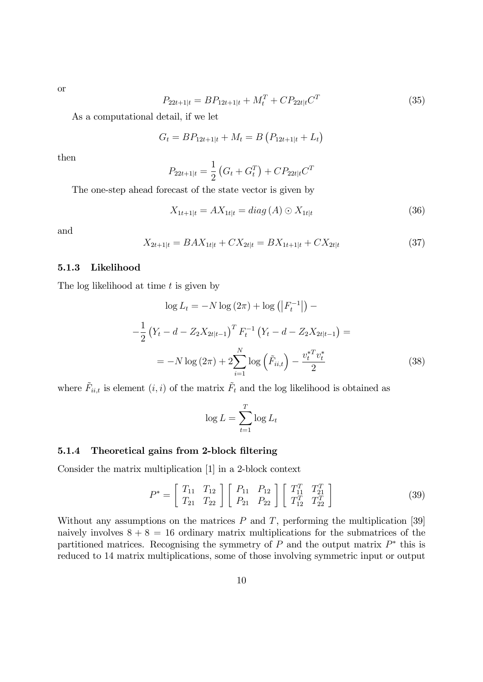or

$$
P_{22t+1|t} = BP_{12t+1|t} + M_t^T + CP_{22t|t}C^T
$$
\n(35)

As a computational detail, if we let

$$
G_t = BP_{12t+1|t} + M_t = B\left(P_{12t+1|t} + L_t\right)
$$

then

$$
P_{22t+1|t} = \frac{1}{2} \left( G_t + G_t^T \right) + C P_{22t|t} C^T
$$

The one-step ahead forecast of the state vector is given by

$$
X_{1t+1|t} = AX_{1t|t} = diag(A) \odot X_{1t|t}
$$
\n(36)

and

$$
X_{2t+1|t} = BAX_{1t|t} + CX_{2t|t} = BX_{1t+1|t} + CX_{2t|t}
$$
\n(37)

#### 5.1.3 Likelihood

The log likelihood at time  $t$  is given by

$$
\log L_t = -N \log (2\pi) + \log (|F_t^{-1}|) -
$$
  

$$
-\frac{1}{2} (Y_t - d - Z_2 X_{2t|t-1})^T F_t^{-1} (Y_t - d - Z_2 X_{2t|t-1}) =
$$
  

$$
= -N \log (2\pi) + 2 \sum_{i=1}^N \log (\tilde{F}_{ii,t}) - \frac{v_t^{*T} v_t^*}{2}
$$
(38)

where  $\tilde{F}_{i,i,t}$  is element  $(i,i)$  of the matrix  $\tilde{F}_t$  and the log likelihood is obtained as

$$
\log L = \sum_{t=1}^{T} \log L_t
$$

#### 5.1.4 Theoretical gains from 2-block filtering

Consider the matrix multiplication [1] in a 2-block context

$$
P^* = \begin{bmatrix} T_{11} & T_{12} \\ T_{21} & T_{22} \end{bmatrix} \begin{bmatrix} P_{11} & P_{12} \\ P_{21} & P_{22} \end{bmatrix} \begin{bmatrix} T_{11}^T & T_{21}^T \\ T_{12}^T & T_{22}^T \end{bmatrix}
$$
(39)

Without any assumptions on the matrices  $P$  and  $T$ , performing the multiplication [39] naively involves  $8 + 8 = 16$  ordinary matrix multiplications for the submatrices of the partitioned matrices. Recognising the symmetry of  $P$  and the output matrix  $P^*$  this is reduced to 14 matrix multiplications, some of those involving symmetric input or output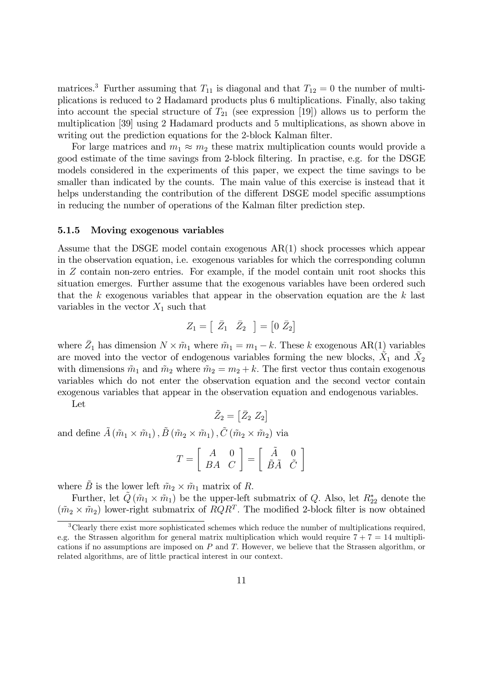matrices.<sup>3</sup> Further assuming that  $T_{11}$  is diagonal and that  $T_{12} = 0$  the number of multiplications is reduced to 2 Hadamard products plus 6 multiplications. Finally, also taking into account the special structure of  $T_{21}$  (see expression [19]) allows us to perform the multiplication [39] using 2 Hadamard products and 5 multiplications, as shown above in writing out the prediction equations for the 2-block Kalman filter.

For large matrices and  $m_1 \approx m_2$  these matrix multiplication counts would provide a good estimate of the time savings from 2-block Öltering. In practise, e.g. for the DSGE models considered in the experiments of this paper, we expect the time savings to be smaller than indicated by the counts. The main value of this exercise is instead that it helps understanding the contribution of the different DSGE model specific assumptions in reducing the number of operations of the Kalman filter prediction step.

#### 5.1.5 Moving exogenous variables

Assume that the DSGE model contain exogenous AR(1) shock processes which appear in the observation equation, i.e. exogenous variables for which the corresponding column in Z contain non-zero entries. For example, if the model contain unit root shocks this situation emerges. Further assume that the exogenous variables have been ordered such that the k exogenous variables that appear in the observation equation are the  $k$  last variables in the vector  $X_1$  such that

$$
Z_1 = \left[\begin{array}{cc} \bar{Z}_1 & \bar{Z}_2 \end{array}\right] = \left[\begin{array}{cc} 0 & \bar{Z}_2 \end{array}\right]
$$

where  $\bar{Z}_1$  has dimension  $N \times \tilde{m}_1$  where  $\tilde{m}_1 = m_1 - k$ . These k exogenous AR(1) variables are moved into the vector of endogenous variables forming the new blocks,  $\tilde{X}_1$  and  $\tilde{X}_2$ with dimensions  $\tilde{m}_1$  and  $\tilde{m}_2$  where  $\tilde{m}_2 = m_2 + k$ . The first vector thus contain exogenous variables which do not enter the observation equation and the second vector contain exogenous variables that appear in the observation equation and endogenous variables.

Let

$$
\tilde{Z}_2 = \left[\bar{Z}_2 \ Z_2\right]
$$

and define  $\tilde{A}(\tilde{m}_1 \times \tilde{m}_1), \tilde{B}(\tilde{m}_2 \times \tilde{m}_1), \tilde{C}(\tilde{m}_2 \times \tilde{m}_2)$  via

$$
T = \left[ \begin{array}{cc} A & 0 \\ BA & C \end{array} \right] = \left[ \begin{array}{cc} \tilde{A} & 0 \\ \tilde{B}\tilde{A} & \tilde{C} \end{array} \right]
$$

where  $\tilde{B}$  is the lower left  $\tilde{m}_2 \times \tilde{m}_1$  matrix of R.

Further, let  $\tilde{Q}$   $(\tilde{m}_1 \times \tilde{m}_1)$  be the upper-left submatrix of Q. Also, let  $R_{22}^*$  denote the  $({\tilde{m}}_2 \times {\tilde{m}}_2)$  lower-right submatrix of  $RQR^T$ . The modified 2-block filter is now obtained

<sup>&</sup>lt;sup>3</sup>Clearly there exist more sophisticated schemes which reduce the number of multiplications required, e.g. the Strassen algorithm for general matrix multiplication which would require  $7 + 7 = 14$  multiplications if no assumptions are imposed on  $P$  and  $T$ . However, we believe that the Strassen algorithm, or related algorithms, are of little practical interest in our context.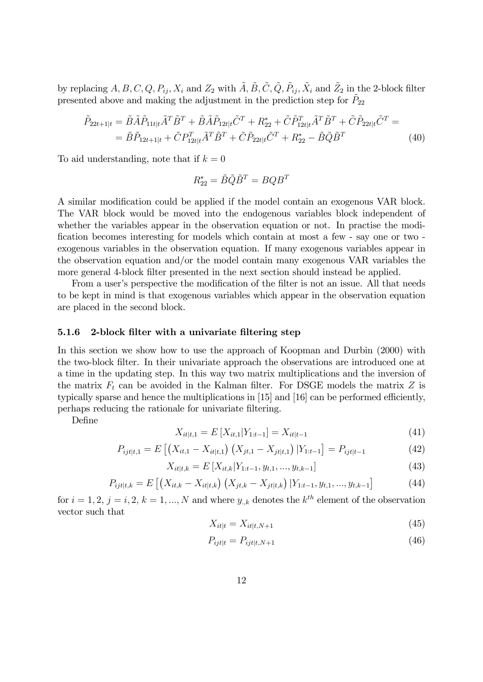by replacing  $A, B, C, Q, P_{ij}, X_i$  and  $Z_2$  with  $\tilde{A}, \tilde{B}, \tilde{C}, \tilde{Q}, \tilde{P}_{ij}, \tilde{X}_i$  and  $\tilde{Z}_2$  in the 2-block filter presented above and making the adjustment in the prediction step for  $\tilde{P}_{22}$ 

$$
\tilde{P}_{22t+1|t} = \tilde{B}\tilde{A}\tilde{P}_{11t|t}\tilde{A}^T\tilde{B}^T + \tilde{B}\tilde{A}\tilde{P}_{12t|t}\tilde{C}^T + R_{22}^* + \tilde{C}\tilde{P}_{12t|t}^T\tilde{A}^T\tilde{B}^T + \tilde{C}\tilde{P}_{22t|t}\tilde{C}^T =
$$
\n
$$
= \tilde{B}\tilde{P}_{12t+1|t} + \tilde{C}P_{12t|t}^T\tilde{A}^T\tilde{B}^T + \tilde{C}\tilde{P}_{22t|t}\tilde{C}^T + R_{22}^* - \tilde{B}\tilde{Q}\tilde{B}^T
$$
\n(40)

To aid understanding, note that if  $k = 0$ 

$$
R_{22}^* = \tilde{B}\tilde{Q}\tilde{B}^T = BQB^T
$$

A similar modification could be applied if the model contain an exogenous VAR block. The VAR block would be moved into the endogenous variables block independent of whether the variables appear in the observation equation or not. In practise the modification becomes interesting for models which contain at most a few - say one or two exogenous variables in the observation equation. If many exogenous variables appear in the observation equation and/or the model contain many exogenous VAR variables the more general 4-block filter presented in the next section should instead be applied.

From a user's perspective the modification of the filter is not an issue. All that needs to be kept in mind is that exogenous variables which appear in the observation equation are placed in the second block.

#### 5.1.6 2-block filter with a univariate filtering step

In this section we show how to use the approach of Koopman and Durbin (2000) with the two-block Ölter. In their univariate approach the observations are introduced one at a time in the updating step. In this way two matrix multiplications and the inversion of the matrix  $F_t$  can be avoided in the Kalman filter. For DSGE models the matrix Z is typically sparse and hence the multiplications in  $[15]$  and  $[16]$  can be performed efficiently, perhaps reducing the rationale for univariate Öltering.

DeÖne

$$
X_{it|t,1} = E\left[X_{it,1}|Y_{1:t-1}\right] = X_{it|t-1} \tag{41}
$$

$$
P_{ijt|t,1} = E\left[ \left( X_{it,1} - X_{it|t,1} \right) \left( X_{jt,1} - X_{jt|t,1} \right) | Y_{1:t-1} \right] = P_{ijt|t-1} \tag{42}
$$

$$
X_{it|t,k} = E\left[X_{it,k}|Y_{1:t-1}, y_{t,1}, \dots, y_{t,k-1}\right]
$$
\n(43)

$$
P_{ijt|t,k} = E\left[ \left( X_{it,k} - X_{it|t,k} \right) \left( X_{jt,k} - X_{jt|t,k} \right) | Y_{1:t-1}, y_{t,1}, \dots, y_{t,k-1} \right] \tag{44}
$$

for  $i = 1, 2, j = i, 2, k = 1, ..., N$  and where  $y_{k}$  denotes the  $k^{th}$  element of the observation vector such that

$$
X_{it|t} = X_{it|t,N+1} \tag{45}
$$

$$
P_{ijt|t} = P_{ijt|t,N+1} \tag{46}
$$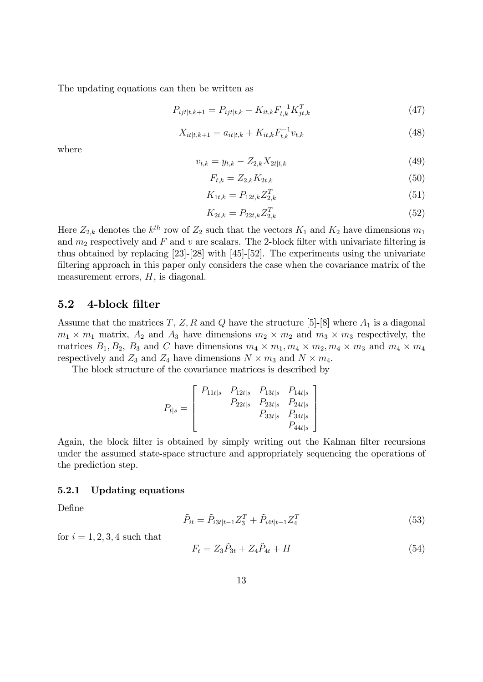The updating equations can then be written as

$$
P_{ijt|t,k+1} = P_{ijt|t,k} - K_{it,k} F_{t,k}^{-1} K_{jt,k}^T
$$
\n(47)

$$
X_{it|t,k+1} = a_{it|t,k} + K_{it,k} F_{t,k}^{-1} v_{t,k}
$$
\n(48)

where

$$
v_{t,k} = y_{t,k} - Z_{2,k} X_{2t|t,k}
$$
\n(49)

$$
F_{t,k} = Z_{2,k} K_{2t,k} \tag{50}
$$

$$
K_{1t,k} = P_{12t,k} Z_{2,k}^T
$$
\n(51)

$$
K_{2t,k} = P_{22t,k} Z_{2,k}^T
$$
\n(52)

Here  $Z_{2,k}$  denotes the  $k^{th}$  row of  $Z_2$  such that the vectors  $K_1$  and  $K_2$  have dimensions  $m_1$ and  $m_2$  respectively and F and v are scalars. The 2-block filter with univariate filtering is thus obtained by replacing [23]-[28] with [45]-[52]. The experiments using the univariate filtering approach in this paper only considers the case when the covariance matrix of the measurement errors,  $H$ , is diagonal.

#### 5.2 4-block Ölter

Assume that the matrices T, Z, R and Q have the structure [5]-[8] where  $A_1$  is a diagonal  $m_1 \times m_1$  matrix,  $A_2$  and  $A_3$  have dimensions  $m_2 \times m_2$  and  $m_3 \times m_3$  respectively, the matrices  $B_1, B_2, B_3$  and C have dimensions  $m_4 \times m_1, m_4 \times m_2, m_4 \times m_3$  and  $m_4 \times m_4$ respectively and  $Z_3$  and  $Z_4$  have dimensions  $N \times m_3$  and  $N \times m_4$ .

The block structure of the covariance matrices is described by

$$
P_{t|s} = \begin{bmatrix} P_{11t|s} & P_{12t|s} & P_{13t|s} & P_{14t|s} \\ & P_{22t|s} & P_{23t|s} & P_{24t|s} \\ & & P_{33t|s} & P_{34t|s} \\ & & & P_{44t|s} \end{bmatrix}
$$

Again, the block filter is obtained by simply writing out the Kalman filter recursions under the assumed state-space structure and appropriately sequencing the operations of the prediction step.

#### 5.2.1 Updating equations

DeÖne

$$
\tilde{P}_{it} = \tilde{P}_{i3t|t-1} Z_3^T + \tilde{P}_{i4t|t-1} Z_4^T
$$
\n(53)

for  $i = 1, 2, 3, 4$  such that

$$
F_t = Z_3 \tilde{P}_{3t} + Z_4 \tilde{P}_{4t} + H \tag{54}
$$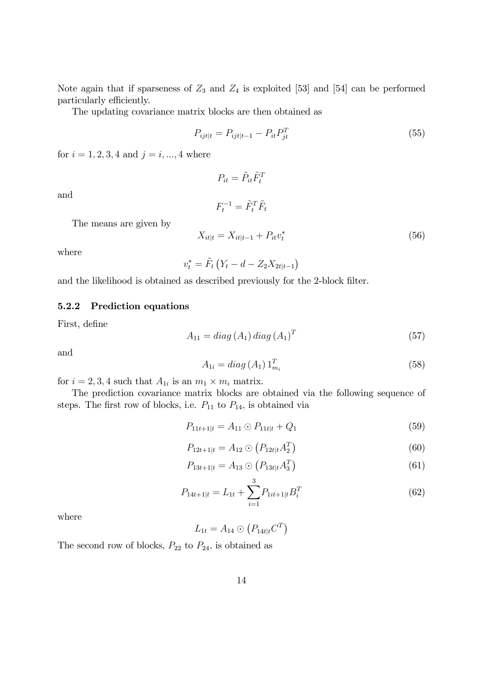Note again that if sparseness of  $Z_3$  and  $Z_4$  is exploited [53] and [54] can be performed particularly efficiently.

The updating covariance matrix blocks are then obtained as

$$
P_{ijt|t} = P_{ijt|t-1} - P_{it}P_{jt}^T
$$
\n(55)

for  $i = 1, 2, 3, 4$  and  $j = i, ..., 4$  where

and

$$
F_t^{-1} = \tilde{F}_t^T \tilde{F}_t
$$

 $P_{it} = \tilde{P}_{it}\tilde{F}_t^T$ 

The means are given by

$$
X_{it|t} = X_{it|t-1} + P_{it}v_t^*
$$
\n(56)

where

 $v_t^* = \tilde{F}_t (Y_t - d - Z_2 X_{2t|t-1})$ 

and the likelihood is obtained as described previously for the 2-block filter.

#### 5.2.2 Prediction equations

First, define

$$
A_{11} = diag(A_1) diag(A_1)^T
$$
\n(57)

and

$$
A_{1i} = diag(A_1) 1_{m_i}^T
$$
\n
$$
(58)
$$

for  $i = 2, 3, 4$  such that  $A_{1i}$  is an  $m_1 \times m_i$  matrix.

The prediction covariance matrix blocks are obtained via the following sequence of steps. The first row of blocks, i.e.  $P_{11}$  to  $P_{14}$ , is obtained via

$$
P_{11t+1|t} = A_{11} \odot P_{11t|t} + Q_1 \tag{59}
$$

$$
P_{12t+1|t} = A_{12} \odot (P_{12t|t} A_2^T) \tag{60}
$$

$$
P_{13t+1|t} = A_{13} \odot (P_{13t|t} A_3^T) \tag{61}
$$

$$
P_{14t+1|t} = L_{1t} + \sum_{i=1}^{3} P_{1it+1|t} B_i^T
$$
 (62)

where

$$
L_{1t} = A_{14} \odot (P_{14t|t}C^T)
$$

The second row of blocks,  $P_{22}$  to  $P_{24}$ , is obtained as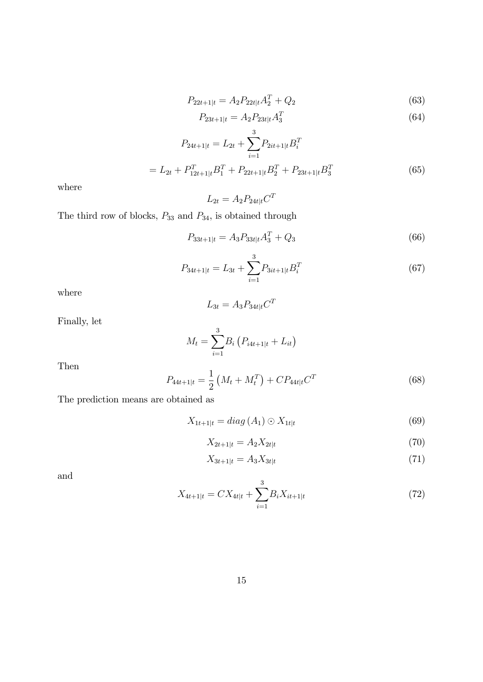$$
P_{22t+1|t} = A_2 P_{22t|t} A_2^T + Q_2
$$
\n(63)

$$
P_{23t+1|t} = A_2 P_{23t|t} A_3^T
$$
\n(64)

$$
P_{24t+1|t} = L_{2t} + \sum_{i=1}^{3} P_{2it+1|t} B_i^T
$$
  
=  $L_{2t} + P_{12t+1|t}^T B_1^T + P_{22t+1|t} B_2^T + P_{23t+1|t} B_3^T$  (65)

where

$$
L_{2t} = A_2 P_{24t|t} C^T
$$

The third row of blocks,  $P_{33}$  and  $P_{34}$ , is obtained through

$$
P_{33t+1|t} = A_3 P_{33t|t} A_3^T + Q_3 \tag{66}
$$

$$
P_{34t+1|t} = L_{3t} + \sum_{i=1}^{3} P_{3it+1|t} B_i^T
$$
\n(67)

where

$$
L_{3t} = A_3 P_{34t|t} C^T
$$

Finally, let

$$
M_t = \sum_{i=1}^{3} B_i \left( P_{i4t+1|t} + L_{it} \right)
$$

Then

$$
P_{44t+1|t} = \frac{1}{2} \left( M_t + M_t^T \right) + C P_{44t|t} C^T \tag{68}
$$

The prediction means are obtained as

$$
X_{1t+1|t} = diag(A_1) \odot X_{1t|t} \tag{69}
$$

$$
X_{2t+1|t} = A_2 X_{2t|t} \tag{70}
$$

$$
X_{3t+1|t} = A_3 X_{3t|t} \tag{71}
$$

and

$$
X_{4t+1|t} = CX_{4t|t} + \sum_{i=1}^{3} B_i X_{it+1|t}
$$
\n(72)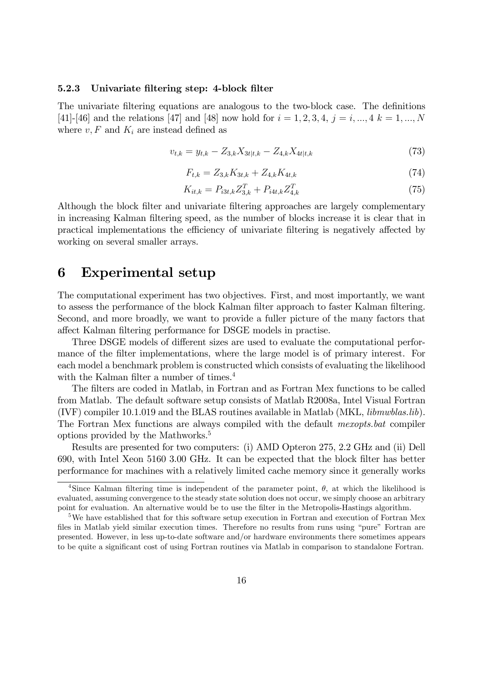#### 5.2.3 Univariate filtering step: 4-block filter

The univariate filtering equations are analogous to the two-block case. The definitions [41]-[46] and the relations [47] and [48] now hold for  $i = 1, 2, 3, 4, j = i, ..., 4$  k = 1, ..., N where  $v, F$  and  $K_i$  are instead defined as

$$
v_{t,k} = y_{t,k} - Z_{3,k} X_{3t|t,k} - Z_{4,k} X_{4t|t,k}
$$
\n(73)

$$
F_{t,k} = Z_{3,k} K_{3t,k} + Z_{4,k} K_{4t,k}
$$
\n<sup>(74)</sup>

$$
K_{it,k} = P_{i3t,k} Z_{3,k}^T + P_{i4t,k} Z_{4,k}^T
$$
\n(75)

Although the block filter and univariate filtering approaches are largely complementary in increasing Kalman filtering speed, as the number of blocks increase it is clear that in practical implementations the efficiency of univariate filtering is negatively affected by working on several smaller arrays.

### 6 Experimental setup

The computational experiment has two objectives. First, and most importantly, we want to assess the performance of the block Kalman filter approach to faster Kalman filtering. Second, and more broadly, we want to provide a fuller picture of the many factors that affect Kalman filtering performance for DSGE models in practise.

Three DSGE models of different sizes are used to evaluate the computational performance of the filter implementations, where the large model is of primary interest. For each model a benchmark problem is constructed which consists of evaluating the likelihood with the Kalman filter a number of times. $4$ 

The filters are coded in Matlab, in Fortran and as Fortran Mex functions to be called from Matlab. The default software setup consists of Matlab R2008a, Intel Visual Fortran (IVF) compiler 10.1.019 and the BLAS routines available in Matlab (MKL, libmwblas.lib). The Fortran Mex functions are always compiled with the default mexopts.bat compiler options provided by the Mathworks.<sup>5</sup>

Results are presented for two computers: (i) AMD Opteron 275, 2.2 GHz and (ii) Dell 690, with Intel Xeon 5160 3.00 GHz. It can be expected that the block filter has better performance for machines with a relatively limited cache memory since it generally works

<sup>&</sup>lt;sup>4</sup>Since Kalman filtering time is independent of the parameter point,  $\theta$ , at which the likelihood is evaluated, assuming convergence to the steady state solution does not occur, we simply choose an arbitrary point for evaluation. An alternative would be to use the Ölter in the Metropolis-Hastings algorithm.

<sup>5</sup>We have established that for this software setup execution in Fortran and execution of Fortran Mex files in Matlab yield similar execution times. Therefore no results from runs using "pure" Fortran are presented. However, in less up-to-date software and/or hardware environments there sometimes appears to be quite a significant cost of using Fortran routines via Matlab in comparison to standalone Fortran.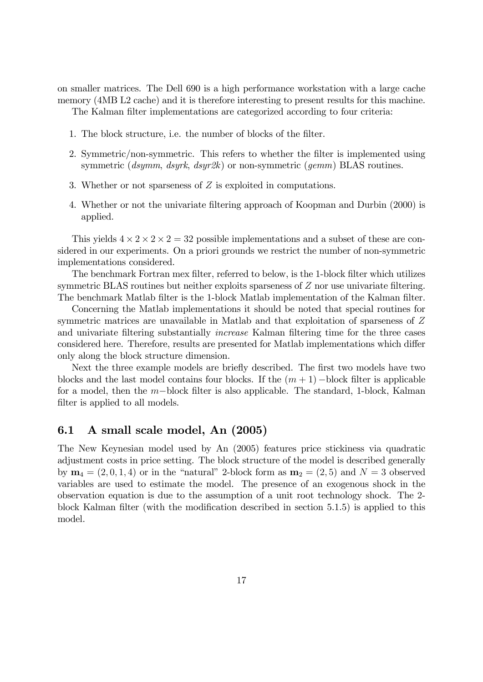on smaller matrices. The Dell 690 is a high performance workstation with a large cache memory (4MB L2 cache) and it is therefore interesting to present results for this machine. The Kalman filter implementations are categorized according to four criteria:

1. The block structure, i.e. the number of blocks of the filter.

- 2. Symmetric/non-symmetric. This refers to whether the filter is implemented using symmetric (dsymm, dsyrk, dsyr2k) or non-symmetric (gemm) BLAS routines.
- 3. Whether or not sparseness of Z is exploited in computations.
- 4. Whether or not the univariate Öltering approach of Koopman and Durbin (2000) is applied.

This yields  $4 \times 2 \times 2 \times 2 = 32$  possible implementations and a subset of these are considered in our experiments. On a priori grounds we restrict the number of non-symmetric implementations considered.

The benchmark Fortran mex filter, referred to below, is the 1-block filter which utilizes symmetric BLAS routines but neither exploits sparseness of  $Z$  nor use univariate filtering. The benchmark Matlab filter is the 1-block Matlab implementation of the Kalman filter.

Concerning the Matlab implementations it should be noted that special routines for symmetric matrices are unavailable in Matlab and that exploitation of sparseness of Z and univariate filtering substantially *increase* Kalman filtering time for the three cases considered here. Therefore, results are presented for Matlab implementations which differ only along the block structure dimension.

Next the three example models are briefly described. The first two models have two blocks and the last model contains four blocks. If the  $(m + 1)$  -block filter is applicable for a model, then the  $m$ -block filter is also applicable. The standard, 1-block, Kalman filter is applied to all models.

#### 6.1 A small scale model, An (2005)

The New Keynesian model used by An (2005) features price stickiness via quadratic adjustment costs in price setting. The block structure of the model is described generally by  $\mathbf{m}_4 = (2, 0, 1, 4)$  or in the "natural" 2-block form as  $\mathbf{m}_2 = (2, 5)$  and  $N = 3$  observed variables are used to estimate the model. The presence of an exogenous shock in the observation equation is due to the assumption of a unit root technology shock. The 2 block Kalman filter (with the modification described in section 5.1.5) is applied to this model.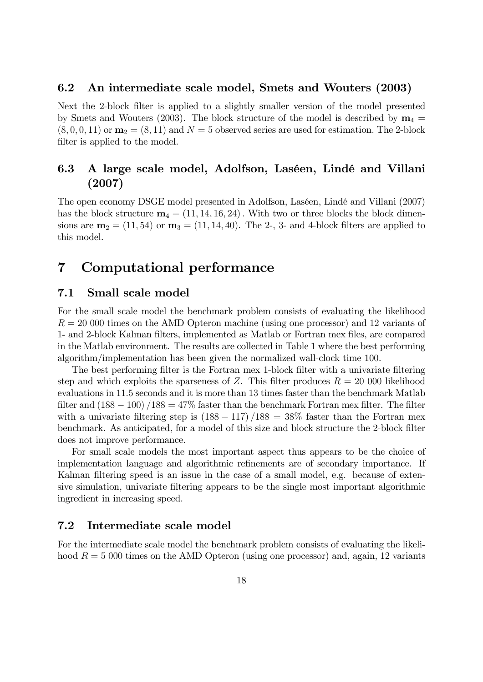#### 6.2 An intermediate scale model, Smets and Wouters (2003)

Next the 2-block filter is applied to a slightly smaller version of the model presented by Smets and Wouters (2003). The block structure of the model is described by  $m_4 =$  $(8, 0, 0, 11)$  or  $\mathbf{m}_2 = (8, 11)$  and  $N = 5$  observed series are used for estimation. The 2-block filter is applied to the model.

### 6.3 A large scale model, Adolfson, Laséen, Lindé and Villani (2007)

The open economy DSGE model presented in Adolfson, Laséen, Lindé and Villani (2007) has the block structure  $m_4 = (11, 14, 16, 24)$ . With two or three blocks the block dimensions are  $\mathbf{m}_2 = (11, 54)$  or  $\mathbf{m}_3 = (11, 14, 40)$ . The 2-, 3- and 4-block filters are applied to this model.

# 7 Computational performance

#### 7.1 Small scale model

For the small scale model the benchmark problem consists of evaluating the likelihood  $R = 20000$  times on the AMD Opteron machine (using one processor) and 12 variants of 1- and 2-block Kalman Ölters, implemented as Matlab or Fortran mex Öles, are compared in the Matlab environment. The results are collected in Table 1 where the best performing algorithm/implementation has been given the normalized wall-clock time 100.

The best performing filter is the Fortran mex 1-block filter with a univariate filtering step and which exploits the sparseness of Z. This filter produces  $R = 20000$  likelihood evaluations in 11:5 seconds and it is more than 13 times faster than the benchmark Matlab filter and  $(188 - 100) / 188 = 47\%$  faster than the benchmark Fortran mex filter. The filter with a univariate filtering step is  $(188 - 117)/188 = 38\%$  faster than the Fortran mex benchmark. As anticipated, for a model of this size and block structure the 2-block filter does not improve performance.

For small scale models the most important aspect thus appears to be the choice of implementation language and algorithmic refinements are of secondary importance. If Kalman filtering speed is an issue in the case of a small model, e.g. because of extensive simulation, univariate filtering appears to be the single most important algorithmic ingredient in increasing speed.

#### 7.2 Intermediate scale model

For the intermediate scale model the benchmark problem consists of evaluating the likelihood  $R = 5000$  times on the AMD Opteron (using one processor) and, again, 12 variants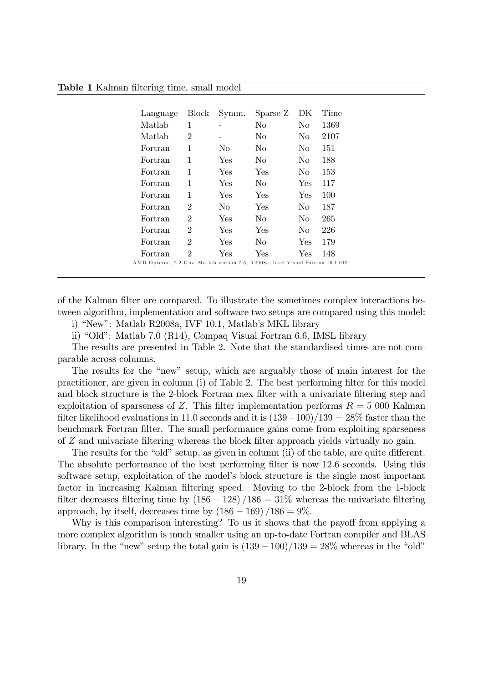| <b>Block</b>   | Symm.      | Sparse Z | DK             | Time                                                                             |
|----------------|------------|----------|----------------|----------------------------------------------------------------------------------|
| 1              |            | Nο       | N <sub>0</sub> | 1369                                                                             |
| $\overline{2}$ |            | No.      | N <sub>0</sub> | 2107                                                                             |
| 1              | No         | $\rm No$ | No             | 151                                                                              |
| 1              | Yes        | $\rm No$ | No             | 188                                                                              |
| 1              | <b>Yes</b> | Yes      | No.            | 153                                                                              |
| 1              | Yes        | $\rm No$ | Yes            | 117                                                                              |
| 1              | Yes        | Yes      | Yes            | 100                                                                              |
| $\overline{2}$ | No.        | Yes      | No             | 187                                                                              |
| $\overline{2}$ | Yes        | No.      | No.            | 265                                                                              |
| $\overline{2}$ | Yes        | Yes      | No             | 226                                                                              |
| 2              | Yes        | $\rm No$ | Yes            | 179                                                                              |
| 2              | Yes        | Yes      | Yes            | 148                                                                              |
|                |            |          |                | AMD Opteron, 2.2 Ghz, Matlab version 7.6, R2008a, Intel Visual Fortran 10.1.019. |

Table 1 Kalman filtering time, small model

of the Kalman Ölter are compared. To illustrate the sometimes complex interactions between algorithm, implementation and software two setups are compared using this model:

.

i) "New": Matlab R2008a, IVF 10.1, Matlab's MKL library

ii) "Old": Matlab 7.0 (R14), Compaq Visual Fortran 6.6, IMSL library

The results are presented in Table 2. Note that the standardised times are not comparable across columns.

The results for the "new" setup, which are arguably those of main interest for the practitioner, are given in column (i) of Table 2. The best performing filter for this model and block structure is the 2-block Fortran mex filter with a univariate filtering step and exploitation of sparseness of Z. This filter implementation performs  $R = 5000$  Kalman filter likelihood evaluations in 11.0 seconds and it is  $(139-100)/139 = 28\%$  faster than the benchmark Fortran Ölter. The small performance gains come from exploiting sparseness of  $Z$  and univariate filtering whereas the block filter approach yields virtually no gain.

The results for the "old" setup, as given in column (ii) of the table, are quite different. The absolute performance of the best performing filter is now 12.6 seconds. Using this software setup, exploitation of the model's block structure is the single most important factor in increasing Kalman filtering speed. Moving to the 2-block from the 1-block filter decreases filtering time by  $(186 - 128) / 186 = 31\%$  whereas the univariate filtering approach, by itself, decreases time by  $(186 - 169) / 186 = 9\%$ .

Why is this comparison interesting? To us it shows that the payoff from applying a more complex algorithm is much smaller using an up-to-date Fortran compiler and BLAS library. In the "new" setup the total gain is  $(139 - 100)/139 = 28\%$  whereas in the "old"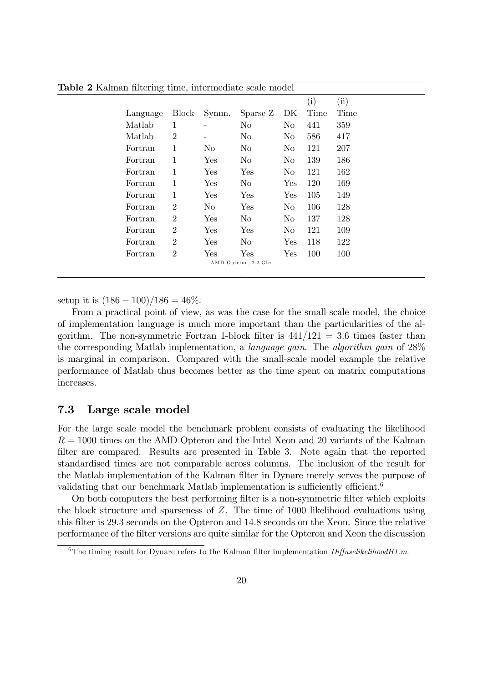| alman filtering time, intermediate scale model |          |                |       |                      |                      |      |      |
|------------------------------------------------|----------|----------------|-------|----------------------|----------------------|------|------|
|                                                |          |                |       |                      |                      | (i)  | (ii) |
|                                                | Language | Block          | Symm. | Sparse Z             | DK                   | Time | Time |
|                                                | Matlab   | 1              |       | N <sub>0</sub>       | No                   | 441  | 359  |
|                                                | Matlab   | $\overline{2}$ | -     | No.                  | No                   | 586  | 417  |
|                                                | Fortran  | 1              | No    | N <sub>0</sub>       | No.                  | 121  | 207  |
|                                                | Fortran  | 1              | Yes   | N <sub>0</sub>       | No                   | 139  | 186  |
|                                                | Fortran  | 1              | Yes.  | Yes                  | No                   | 121  | 162  |
|                                                | Fortran  | 1              | Yes.  | No.                  | Yes                  | 120  | 169  |
|                                                | Fortran  | 1              | Yes   | Yes                  | Yes                  | 105  | 149  |
|                                                | Fortran  | $\overline{2}$ | No    | Yes                  | No.                  | 106  | 128  |
|                                                | Fortran  | $\overline{2}$ | Yes   | No.                  | No.                  | 137  | 128  |
|                                                | Fortran  | $\overline{2}$ | Yes   | Yes                  | No                   | 121  | 109  |
|                                                | Fortran  | $\overline{2}$ | Yes   | N <sub>0</sub>       | Yes                  | 118  | 122  |
|                                                | Fortran  | $\overline{2}$ | Yes   | Yes                  | $\operatorname{Yes}$ | 100  | 100  |
|                                                |          |                |       | AMD Opteron, 2.2 Ghz |                      |      |      |

Table 2 K

setup it is  $(186 - 100)/186 = 46\%$ .

From a practical point of view, as was the case for the small-scale model, the choice of implementation language is much more important than the particularities of the algorithm. The non-symmetric Fortran 1-block filter is  $441/121 = 3.6$  times faster than the corresponding Matlab implementation, a language gain. The algorithm gain of 28% is marginal in comparison. Compared with the small-scale model example the relative performance of Matlab thus becomes better as the time spent on matrix computations increases.

.

#### 7.3 Large scale model

For the large scale model the benchmark problem consists of evaluating the likelihood  $R = 1000$  times on the AMD Opteron and the Intel Xeon and 20 variants of the Kalman filter are compared. Results are presented in Table 3. Note again that the reported standardised times are not comparable across columns. The inclusion of the result for the Matlab implementation of the Kalman filter in Dynare merely serves the purpose of validating that our benchmark Matlab implementation is sufficiently efficient.<sup>6</sup>

On both computers the best performing filter is a non-symmetric filter which exploits the block structure and sparseness of Z. The time of 1000 likelihood evaluations using this Ölter is 29:3 seconds on the Opteron and 14:8 seconds on the Xeon. Since the relative performance of the Ölter versions are quite similar for the Opteron and Xeon the discussion

<sup>&</sup>lt;sup>6</sup>The timing result for Dynare refers to the Kalman filter implementation *DiffuselikelihoodH1.m.*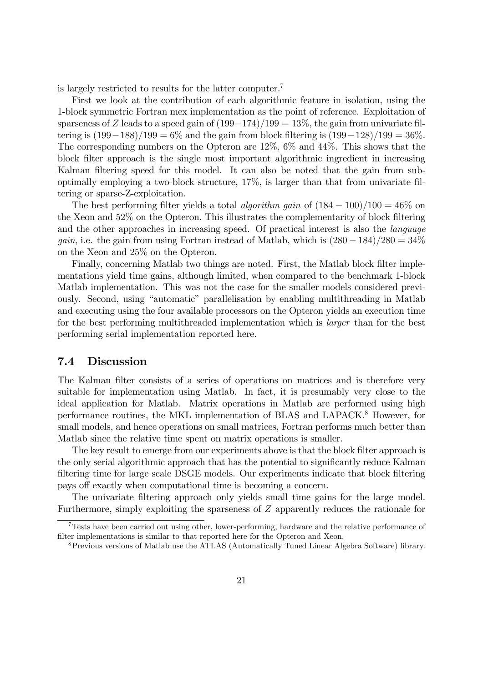is largely restricted to results for the latter computer.<sup>7</sup>

First we look at the contribution of each algorithmic feature in isolation, using the 1-block symmetric Fortran mex implementation as the point of reference. Exploitation of sparseness of Z leads to a speed gain of  $(199-174)/199 = 13\%$ , the gain from univariate filtering is  $(199-188)/199 = 6\%$  and the gain from block filtering is  $(199-128)/199 = 36\%$ . The corresponding numbers on the Opteron are 12%; 6% and 44%. This shows that the block Ölter approach is the single most important algorithmic ingredient in increasing Kalman filtering speed for this model. It can also be noted that the gain from suboptimally employing a two-block structure,  $17\%$ , is larger than that from univariate filtering or sparse-Z-exploitation.

The best performing filter yields a total *algorithm gain* of  $(184 - 100)/100 = 46\%$  on the Xeon and  $52\%$  on the Opteron. This illustrates the complementarity of block filtering and the other approaches in increasing speed. Of practical interest is also the *language* gain, i.e. the gain from using Fortran instead of Matlab, which is  $(280-184)/280 = 34\%$ on the Xeon and 25% on the Opteron.

Finally, concerning Matlab two things are noted. First, the Matlab block filter implementations yield time gains, although limited, when compared to the benchmark 1-block Matlab implementation. This was not the case for the smaller models considered previously. Second, using "automatic" parallelisation by enabling multithreading in Matlab and executing using the four available processors on the Opteron yields an execution time for the best performing multithreaded implementation which is *larger* than for the best performing serial implementation reported here.

#### 7.4 Discussion

The Kalman filter consists of a series of operations on matrices and is therefore very suitable for implementation using Matlab. In fact, it is presumably very close to the ideal application for Matlab. Matrix operations in Matlab are performed using high performance routines, the MKL implementation of BLAS and LAPACK.<sup>8</sup> However, for small models, and hence operations on small matrices, Fortran performs much better than Matlab since the relative time spent on matrix operations is smaller.

The key result to emerge from our experiments above is that the block filter approach is the only serial algorithmic approach that has the potential to significantly reduce Kalman filtering time for large scale DSGE models. Our experiments indicate that block filtering pays off exactly when computational time is becoming a concern.

The univariate filtering approach only yields small time gains for the large model. Furthermore, simply exploiting the sparseness of Z apparently reduces the rationale for

<sup>&</sup>lt;sup>7</sup>Tests have been carried out using other, lower-performing, hardware and the relative performance of filter implementations is similar to that reported here for the Opteron and Xeon.

<sup>8</sup>Previous versions of Matlab use the ATLAS (Automatically Tuned Linear Algebra Software) library.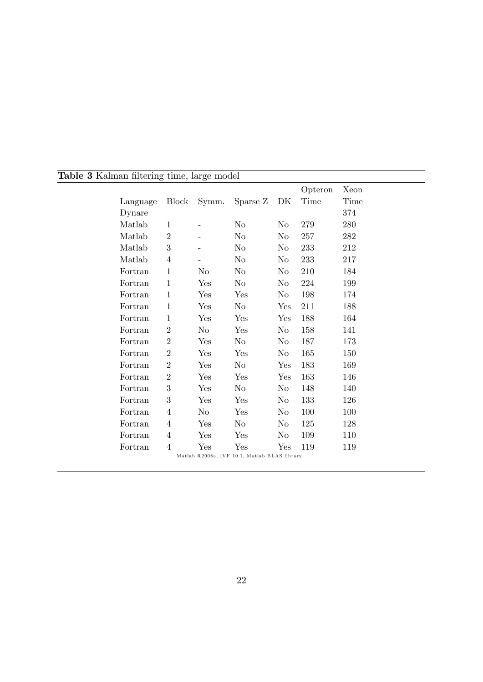| Language<br>Dynare<br>Matlab<br>$\mathbf{1}$<br>$\overline{2}$<br>Matlab<br>3<br>Matlab<br>Matlab<br>$\overline{4}$<br>$\mathbf{1}$<br>Fortran<br>$\mathbf{1}$<br>Fortran<br>$\mathbf{1}$<br>Fortran<br>$\mathbf{1}$<br>Fortran<br>$\mathbf{1}$<br>Fortran<br>$\overline{2}$<br>Fortran<br>$\overline{2}$<br>Fortran<br>$\overline{2}$<br>Fortran<br>$\overline{2}$<br>Fortran<br>$\overline{2}$<br>Fortran<br>3<br>Fortran | <b>Block</b><br>Symm.<br>No<br>Yes<br>Yes<br>Yes<br>Yes | Sparse Z<br>$\rm No$<br>$\rm No$<br>No<br>$\rm No$<br>No<br>$\rm No$<br>Yes<br>$\rm No$<br>Yes | DK<br>No<br>No<br>No<br>$\rm No$<br>No<br>$\rm No$<br>$\rm No$<br>Yes<br>Yes | Time<br>279<br>257<br>233<br>233<br>210<br>224<br>198<br>211 | Time<br>374<br>280<br>282<br>212<br>217<br>184<br>199<br>174<br>188 |
|-----------------------------------------------------------------------------------------------------------------------------------------------------------------------------------------------------------------------------------------------------------------------------------------------------------------------------------------------------------------------------------------------------------------------------|---------------------------------------------------------|------------------------------------------------------------------------------------------------|------------------------------------------------------------------------------|--------------------------------------------------------------|---------------------------------------------------------------------|
|                                                                                                                                                                                                                                                                                                                                                                                                                             |                                                         |                                                                                                |                                                                              |                                                              |                                                                     |
|                                                                                                                                                                                                                                                                                                                                                                                                                             |                                                         |                                                                                                |                                                                              |                                                              |                                                                     |
|                                                                                                                                                                                                                                                                                                                                                                                                                             |                                                         |                                                                                                |                                                                              |                                                              |                                                                     |
|                                                                                                                                                                                                                                                                                                                                                                                                                             |                                                         |                                                                                                |                                                                              |                                                              |                                                                     |
|                                                                                                                                                                                                                                                                                                                                                                                                                             |                                                         |                                                                                                |                                                                              |                                                              |                                                                     |
|                                                                                                                                                                                                                                                                                                                                                                                                                             |                                                         |                                                                                                |                                                                              |                                                              |                                                                     |
|                                                                                                                                                                                                                                                                                                                                                                                                                             |                                                         |                                                                                                |                                                                              |                                                              |                                                                     |
|                                                                                                                                                                                                                                                                                                                                                                                                                             |                                                         |                                                                                                |                                                                              |                                                              |                                                                     |
|                                                                                                                                                                                                                                                                                                                                                                                                                             |                                                         |                                                                                                |                                                                              |                                                              |                                                                     |
|                                                                                                                                                                                                                                                                                                                                                                                                                             |                                                         |                                                                                                |                                                                              |                                                              |                                                                     |
|                                                                                                                                                                                                                                                                                                                                                                                                                             |                                                         |                                                                                                |                                                                              | 188                                                          | 164                                                                 |
|                                                                                                                                                                                                                                                                                                                                                                                                                             | $\rm No$                                                | Yes                                                                                            | $\rm No$                                                                     | 158                                                          | 141                                                                 |
|                                                                                                                                                                                                                                                                                                                                                                                                                             | Yes                                                     | $\rm No$                                                                                       | $\rm No$                                                                     | 187                                                          | 173                                                                 |
|                                                                                                                                                                                                                                                                                                                                                                                                                             | Yes                                                     | Yes                                                                                            | No                                                                           | 165                                                          | 150                                                                 |
|                                                                                                                                                                                                                                                                                                                                                                                                                             | Yes                                                     | No                                                                                             | Yes                                                                          | 183                                                          | 169                                                                 |
|                                                                                                                                                                                                                                                                                                                                                                                                                             | Yes                                                     | Yes                                                                                            | Yes                                                                          | 163                                                          | 146                                                                 |
|                                                                                                                                                                                                                                                                                                                                                                                                                             | Yes                                                     | $\rm No$                                                                                       | $\rm No$                                                                     | 148                                                          | 140                                                                 |
| 3<br>Fortran                                                                                                                                                                                                                                                                                                                                                                                                                | Yes                                                     | Yes                                                                                            | No                                                                           | 133                                                          | 126                                                                 |
| $\overline{4}$<br>Fortran                                                                                                                                                                                                                                                                                                                                                                                                   | $\rm No$                                                | Yes                                                                                            | $\rm No$                                                                     | 100                                                          | 100                                                                 |
| Fortran<br>$\overline{4}$                                                                                                                                                                                                                                                                                                                                                                                                   | Yes                                                     | $\rm No$                                                                                       | No                                                                           | 125                                                          | 128                                                                 |
| Fortran<br>4                                                                                                                                                                                                                                                                                                                                                                                                                | Yes                                                     | Yes                                                                                            | $\rm No$                                                                     | 109                                                          | 110                                                                 |
| $\overline{4}$<br>Fortran                                                                                                                                                                                                                                                                                                                                                                                                   | $_{\rm Yes}$                                            | Yes                                                                                            | Yes                                                                          | 119                                                          | 119                                                                 |

## Table 3 Kalman filtering time, large model

.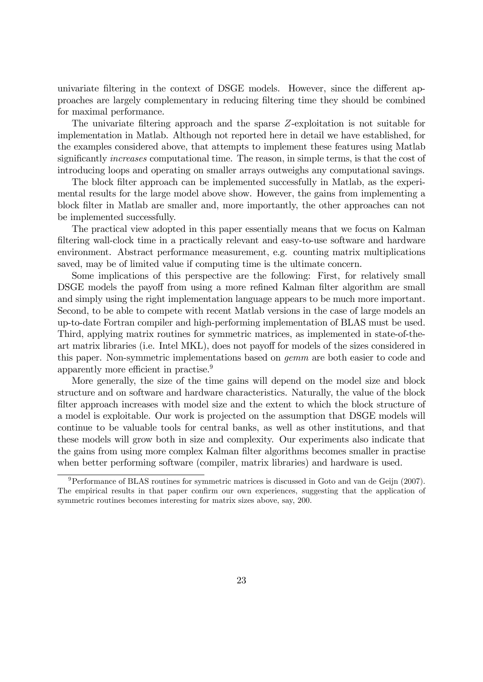univariate filtering in the context of DSGE models. However, since the different approaches are largely complementary in reducing Öltering time they should be combined for maximal performance.

The univariate filtering approach and the sparse  $Z$ -exploitation is not suitable for implementation in Matlab. Although not reported here in detail we have established, for the examples considered above, that attempts to implement these features using Matlab significantly *increases* computational time. The reason, in simple terms, is that the cost of introducing loops and operating on smaller arrays outweighs any computational savings.

The block filter approach can be implemented successfully in Matlab, as the experimental results for the large model above show. However, the gains from implementing a block Ölter in Matlab are smaller and, more importantly, the other approaches can not be implemented successfully.

The practical view adopted in this paper essentially means that we focus on Kalman filtering wall-clock time in a practically relevant and easy-to-use software and hardware environment. Abstract performance measurement, e.g. counting matrix multiplications saved, may be of limited value if computing time is the ultimate concern.

Some implications of this perspective are the following: First, for relatively small DSGE models the payoff from using a more refined Kalman filter algorithm are small and simply using the right implementation language appears to be much more important. Second, to be able to compete with recent Matlab versions in the case of large models an up-to-date Fortran compiler and high-performing implementation of BLAS must be used. Third, applying matrix routines for symmetric matrices, as implemented in state-of-theart matrix libraries (i.e. Intel MKL), does not payoff for models of the sizes considered in this paper. Non-symmetric implementations based on gemm are both easier to code and apparently more efficient in practise.<sup>9</sup>

More generally, the size of the time gains will depend on the model size and block structure and on software and hardware characteristics. Naturally, the value of the block filter approach increases with model size and the extent to which the block structure of a model is exploitable. Our work is projected on the assumption that DSGE models will continue to be valuable tools for central banks, as well as other institutions, and that these models will grow both in size and complexity. Our experiments also indicate that the gains from using more complex Kalman filter algorithms becomes smaller in practise when better performing software (compiler, matrix libraries) and hardware is used.

 $9$ Performance of BLAS routines for symmetric matrices is discussed in Goto and van de Geijn (2007). The empirical results in that paper confirm our own experiences, suggesting that the application of symmetric routines becomes interesting for matrix sizes above, say, 200.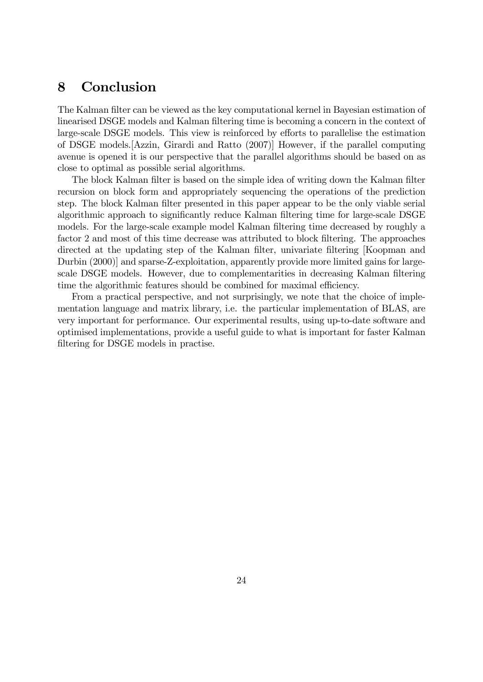## 8 Conclusion

The Kalman filter can be viewed as the key computational kernel in Bayesian estimation of linearised DSGE models and Kalman filtering time is becoming a concern in the context of large-scale DSGE models. This view is reinforced by efforts to parallelise the estimation of DSGE models.[Azzin, Girardi and Ratto (2007)] However, if the parallel computing avenue is opened it is our perspective that the parallel algorithms should be based on as close to optimal as possible serial algorithms.

The block Kalman filter is based on the simple idea of writing down the Kalman filter recursion on block form and appropriately sequencing the operations of the prediction step. The block Kalman filter presented in this paper appear to be the only viable serial algorithmic approach to significantly reduce Kalman filtering time for large-scale DSGE models. For the large-scale example model Kalman filtering time decreased by roughly a factor 2 and most of this time decrease was attributed to block filtering. The approaches directed at the updating step of the Kalman filter, univariate filtering [Koopman and Durbin (2000)] and sparse-Z-exploitation, apparently provide more limited gains for largescale DSGE models. However, due to complementarities in decreasing Kalman filtering time the algorithmic features should be combined for maximal efficiency.

From a practical perspective, and not surprisingly, we note that the choice of implementation language and matrix library, i.e. the particular implementation of BLAS, are very important for performance. Our experimental results, using up-to-date software and optimised implementations, provide a useful guide to what is important for faster Kalman filtering for DSGE models in practise.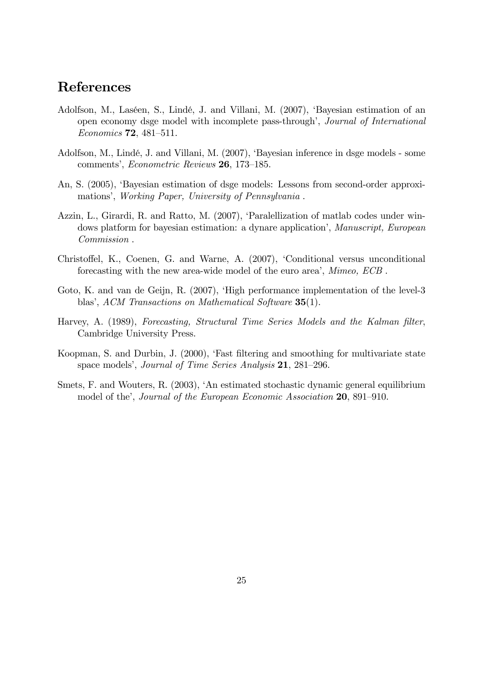# References

- Adolfson, M., Laséen, S., Lindé, J. and Villani, M. (2007), 'Bayesian estimation of an open economy dsge model with incomplete pass-through', Journal of International  $Economics$  **72**, 481-511.
- Adolfson, M., Lindé, J. and Villani, M. (2007), 'Bayesian inference in dsge models some comments', *Econometric Reviews* 26, 173–185.
- An, S. (2005), 'Bayesian estimation of dsge models: Lessons from second-order approximations', Working Paper, University of Pennsylvania.
- Azzin, L., Girardi, R. and Ratto, M. (2007), 'Paralellization of matlab codes under windows platform for bayesian estimation: a dynare application', *Manuscript*, *European* Commission .
- Christoffel, K., Coenen, G. and Warne, A. (2007), 'Conditional versus unconditional forecasting with the new area-wide model of the euro area', Mimeo, ECB.
- Goto, K. and van de Geijn, R. (2007), 'High performance implementation of the level-3 blas', ACM Transactions on Mathematical Software  $35(1)$ .
- Harvey, A. (1989), Forecasting, Structural Time Series Models and the Kalman filter, Cambridge University Press.
- Koopman, S. and Durbin, J. (2000), 'Fast filtering and smoothing for multivariate state space models', Journal of Time Series Analysis 21, 281–296.
- Smets, F. and Wouters, R. (2003), ëAn estimated stochastic dynamic general equilibrium model of the<sup>7</sup>, Journal of the European Economic Association 20, 891-910.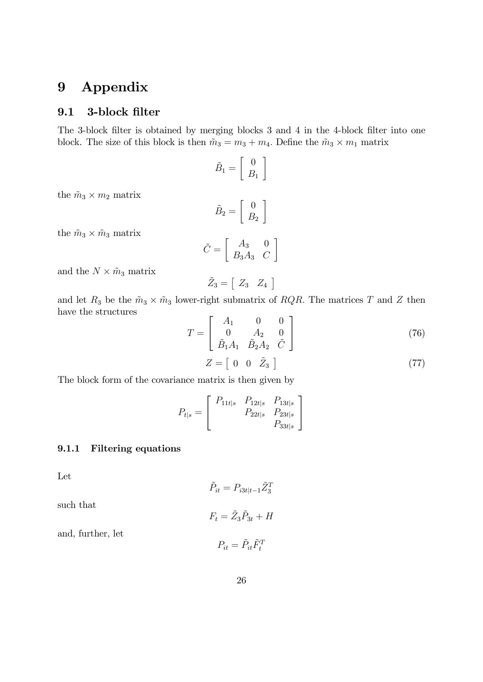# 9 Appendix

### 9.1 3-block filter

The 3-block filter is obtained by merging blocks 3 and 4 in the 4-block filter into one block. The size of this block is then  $\tilde{m}_3 = m_3 + m_4$ . Define the  $\tilde{m}_3 \times m_1$  matrix

$$
\tilde{B}_1 = \left[ \begin{array}{c} 0 \\ B_1 \end{array} \right]
$$

the  $\tilde{m}_3 \times m_2$  matrix

$$
\tilde{B}_2 = \left[ \begin{array}{c} 0 \\ B_2 \end{array} \right]
$$

the  $\tilde{m}_3 \times \tilde{m}_3$  matrix

$$
\tilde{C} = \left[ \begin{array}{cc} A_3 & 0 \\ B_3 A_3 & C \end{array} \right]
$$

and the  $N \times \tilde{m}_3$  matrix

$$
\tilde{Z}_3 = \left[ \begin{array}{cc} Z_3 & Z_4 \end{array} \right]
$$

and let  $R_3$  be the  $\tilde{m}_3 \times \tilde{m}_3$  lower-right submatrix of  $RQR$ . The matrices T and Z then have the structures

$$
T = \begin{bmatrix} A_1 & 0 & 0 \\ 0 & A_2 & 0 \\ \tilde{B}_1 A_1 & \tilde{B}_2 A_2 & \tilde{C} \end{bmatrix}
$$
 (76)  

$$
Z = \begin{bmatrix} 0 & 0 & \tilde{Z}_3 \end{bmatrix}
$$
 (77)

The block form of the covariance matrix is then given by

$$
P_{t|s} = \begin{bmatrix} P_{11t|s} & P_{12t|s} & P_{13t|s} \\ & P_{22t|s} & P_{23t|s} \\ & & P_{33t|s} \end{bmatrix}
$$

#### 9.1.1 Filtering equations

Let

$$
\tilde{P}_{it} = P_{i3t|t-1} \tilde{Z}_3^T
$$

such that

$$
F_t = \tilde{Z}_3 \tilde{P}_{3t} + H
$$

and, further, let

$$
P_{it} = \tilde{P}_{it}\tilde{F}^T_t
$$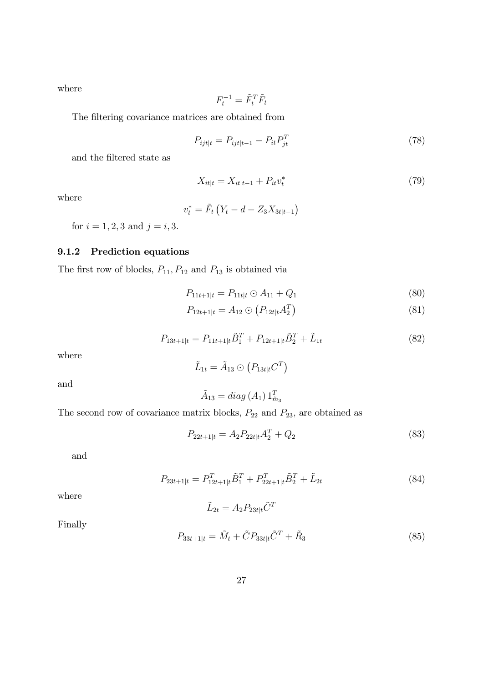where

$$
F_t^{-1} = \tilde{F}_t^T \tilde{F}_t
$$

The filtering covariance matrices are obtained from

$$
P_{ijt|t} = P_{ijt|t-1} - P_{it}P_{jt}^T
$$
\n(78)

and the filtered state as

$$
X_{it|t} = X_{it|t-1} + P_{it}v_t^*
$$
\n(79)

where

$$
v_t^* = \tilde{F}_t \left( Y_t - d - Z_3 X_{3t|t-1} \right)
$$

for  $i = 1, 2, 3$  and  $j = i, 3$ .

### 9.1.2 Prediction equations

The first row of blocks,  $\mathcal{P}_{11}, \mathcal{P}_{12}$  and  $\mathcal{P}_{13}$  is obtained via

$$
P_{11t+1|t} = P_{11t|t} \odot A_{11} + Q_1 \tag{80}
$$

$$
P_{12t+1|t} = A_{12} \odot (P_{12t|t} A_2^T) \tag{81}
$$

$$
P_{13t+1|t} = P_{11t+1|t} \tilde{B}_1^T + P_{12t+1|t} \tilde{B}_2^T + \tilde{L}_{1t}
$$
\n(82)

where

$$
\tilde{L}_{1t} = \tilde{A}_{13} \odot (P_{13t|t}C^T)
$$

and

$$
\tilde{A}_{13} = diag(A_1) 1_{\tilde{m}_3}^T
$$

The second row of covariance matrix blocks,  $P_{22}$  and  $P_{23}$ , are obtained as

$$
P_{22t+1|t} = A_2 P_{22t|t} A_2^T + Q_2
$$
\n(83)

and

$$
P_{23t+1|t} = P_{12t+1|t}^T \tilde{B}_1^T + P_{22t+1|t}^T \tilde{B}_2^T + \tilde{L}_{2t}
$$
\n(84)

where

Finally

$$
P_{33t+1|t} = \tilde{M}_t + \tilde{C} P_{33t|t} \tilde{C}^T + \tilde{R}_3
$$
\n(85)

 $\tilde{L}_{2t} = A_2 P_{23t|t} \tilde{C}^T$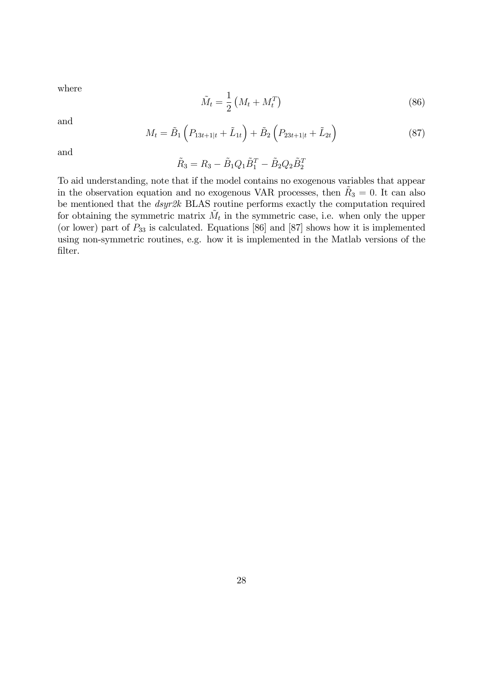where

$$
\tilde{M}_t = \frac{1}{2} \left( M_t + M_t^T \right) \tag{86}
$$

and

$$
M_t = \tilde{B}_1 \left( P_{13t+1|t} + \tilde{L}_{1t} \right) + \tilde{B}_2 \left( P_{23t+1|t} + \tilde{L}_{2t} \right) \tag{87}
$$

and

$$
\tilde{R}_3 = R_3 - \tilde{B}_1 Q_1 \tilde{B}_1^T - \tilde{B}_2 Q_2 \tilde{B}_2^T
$$

To aid understanding, note that if the model contains no exogenous variables that appear in the observation equation and no exogenous VAR processes, then  $R_3 = 0$ . It can also be mentioned that the dsyr2k BLAS routine performs exactly the computation required for obtaining the symmetric matrix  $\tilde{M}_t$  in the symmetric case, i.e. when only the upper (or lower) part of  $P_{33}$  is calculated. Equations [86] and [87] shows how it is implemented using non-symmetric routines, e.g. how it is implemented in the Matlab versions of the filter.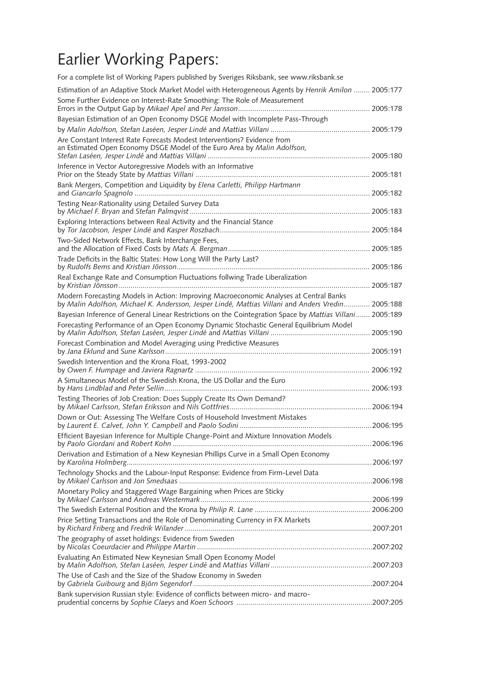# Earlier Working Papers:

For a complete list of Working Papers published by Sveriges Riksbank, see www.riksbank.se Estimation of an Adaptive Stock Market Model with Heterogeneous Agents by *Henrik Amilon* ........ 2005:177 Some Further Evidence on Interest-Rate Smoothing: The Role of Measurement Errors in the Output Gap by *Mikael Apel* and *Per Jansson*................................................................. 2005:178 Bayesian Estimation of an Open Economy DSGE Model with Incomplete Pass-Through by *Malin Adolfson, Stefan Laséen, Jesper Lindé* and *Mattias Villani* ................................................. 2005:179 Are Constant Interest Rate Forecasts Modest Interventions? Evidence from an Estimated Open Economy DSGE Model of the Euro Area by *Malin Adolfson, Stefan Laséen, Jesper Lindé* and *Mattias Villani* ................................................................................ 2005:180 Inference in Vector Autoregressive Models with an Informative Prior on the Steady State by *Mattias Villani* ...................................................................................... 2005:181 Bank Mergers, Competition and Liquidity by *Elena Carletti, Philipp Hartmann* and *Giancarlo Spagnolo* .................................................................................................................... 2005:182 Testing Near-Rationality using Detailed Survey Data by *Michael F. Bryan* and *Stefan Palmqvist*......................................................................................... 2005:183 Exploring Interactions between Real Activity and the Financial Stance by *Tor Jacobson, Jesper Lindé* and *Kasper Roszbach*.......................................................................... 2005:184 Two-Sided Network Effects, Bank Interchange Fees, and the Allocation of Fixed Costs by *Mats A. Bergman*...................................................................... 2005:185 Trade Deficits in the Baltic States: How Long Will the Party Last? by *Rudolfs Bems* and *Kristian Jönsson...............................................................................................* 2005:186 Real Exchange Rate and Consumption Fluctuations follwing Trade Liberalization by *Kristian Jönsson*............................................................................................................................ 2005:187 Modern Forecasting Models in Action: Improving Macroeconomic Analyses at Central Banks by *Malin Adolfson, Michael K. Andersson, Jesper Lindé, Mattias Villani* and *Anders Vredin*............. 2005:188 Bayesian Inference of General Linear Restrictions on the Cointegration Space by *Mattias Villani*....... 2005:189 Forecasting Performance of an Open Economy Dynamic Stochastic General Equilibrium Model by *Malin Adolfson, Stefan Laséen, Jesper Lindé* and *Mattias Villani* ................................................. 2005:190 Forecast Combination and Model Averaging using Predictive Measures by *Jana Eklund* and *Sune Karlsson*..................................................................................................... 2005:191 Swedish Intervention and the Krona Float, 1993-2002 by *Owen F. Humpage* and *Javiera Ragnartz ......................................................................................* 2006:192 A Simultaneous Model of the Swedish Krona, the US Dollar and the Euro by *Hans Lindblad* and *Peter Sellin.....................................................................................................* 2006:193 Testing Theories of Job Creation: Does Supply Create Its Own Demand? by *Mikael Carlsson, Stefan Eriksson* and *Nils Gottfries......................................................................*2006:194 Down or Out: Assessing The Welfare Costs of Household Investment Mistakes by *Laurent E. Calvet, John Y. Campbell* and *Paolo Sodini .................................................................*2006:195 Efficient Bayesian Inference for Multiple Change-Point and Mixture Innovation Models by *Paolo Giordani* and *Robert Kohn ..................................................................................................*2006:196 Derivation and Estimation of a New Keynesian Phillips Curve in a Small Open Economy by *Karolina Holmberg...........................................................................................................................*2006:197 Technology Shocks and the Labour-Input Response: Evidence from Firm-Level Data by *Mikael Carlsson* and *Jon Smedsaas* .................................................................................................2006:198 Monetary Policy and Staggered Wage Bargaining when Prices are Sticky by *Mikael Carlsson* and *Andreas Westermark ......................................................................................*2006:199 The Swedish External Position and the Krona by *Philip R. Lane* .......................................................... 2006:200 Price Setting Transactions and the Role of Denominating Currency in FX Markets by *Richard Friberg* and *Fredrik Wilander ..............................................................................................*2007:201 The geography of asset holdings: Evidence from Sweden by *Nicolas Coeurdacier* and *Philippe Martin* ........................................................................................2007:202 Evaluating An Estimated New Keynesian Small Open Economy Model by *Malin Adolfson, Stefan Laséen, Jesper Lindé* and *Mattias Villani*...................................................2007:203 The Use of Cash and the Size of the Shadow Economy in Sweden by *Gabriela Guibourg* and *Björn Segendorf*..........................................................................................2007:204 Bank supervision Russian style: Evidence of conflicts between micro- and macroprudential concerns by *Sophie Claeys* and *Koen Schoors* ....................................................................2007:205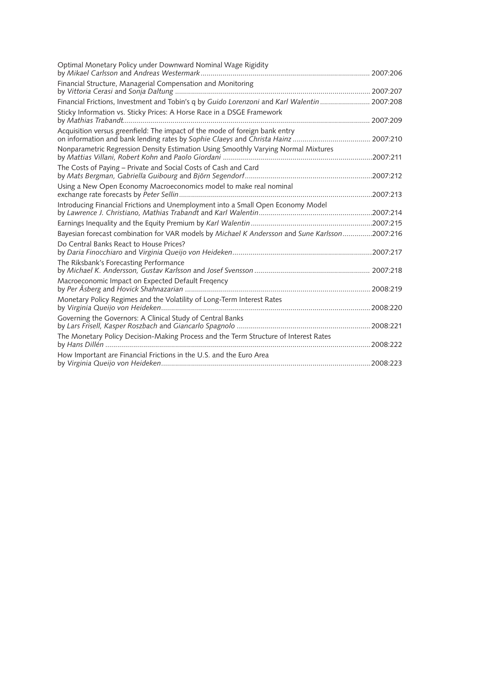| Optimal Monetary Policy under Downward Nominal Wage Rigidity                                  |           |
|-----------------------------------------------------------------------------------------------|-----------|
|                                                                                               |           |
| Financial Structure, Managerial Compensation and Monitoring                                   |           |
|                                                                                               |           |
| Financial Frictions, Investment and Tobin's q by Guido Lorenzoni and Karl Walentin  2007:208  |           |
| Sticky Information vs. Sticky Prices: A Horse Race in a DSGE Framework                        |           |
| Acquisition versus greenfield: The impact of the mode of foreign bank entry                   |           |
| Nonparametric Regression Density Estimation Using Smoothly Varying Normal Mixtures            |           |
| The Costs of Paying - Private and Social Costs of Cash and Card                               | 2007:212  |
| Using a New Open Economy Macroeconomics model to make real nominal                            | 2007:213  |
| Introducing Financial Frictions and Unemployment into a Small Open Economy Model              |           |
|                                                                                               |           |
| Bayesian forecast combination for VAR models by Michael K Andersson and Sune Karlsson2007:216 |           |
| Do Central Banks React to House Prices?                                                       |           |
|                                                                                               |           |
| The Riksbank's Forecasting Performance                                                        |           |
| Macroeconomic Impact on Expected Default Fregency                                             |           |
| Monetary Policy Regimes and the Volatility of Long-Term Interest Rates                        |           |
| Governing the Governors: A Clinical Study of Central Banks                                    |           |
| The Monetary Policy Decision-Making Process and the Term Structure of Interest Rates          | .2008:222 |
| How Important are Financial Frictions in the U.S. and the Euro Area                           | .2008:223 |